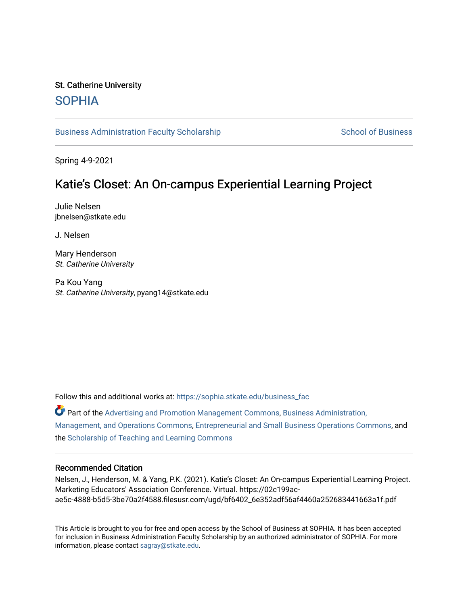## St. Catherine University [SOPHIA](https://sophia.stkate.edu/)

[Business Administration Faculty Scholarship](https://sophia.stkate.edu/business_fac) [School of Business](https://sophia.stkate.edu/sbps) School of Business

Spring 4-9-2021

# Katie's Closet: An On-campus Experiential Learning Project

Julie Nelsen jbnelsen@stkate.edu

J. Nelsen

Mary Henderson St. Catherine University

Pa Kou Yang St. Catherine University, pyang14@stkate.edu

Follow this and additional works at: [https://sophia.stkate.edu/business\\_fac](https://sophia.stkate.edu/business_fac?utm_source=sophia.stkate.edu%2Fbusiness_fac%2F40&utm_medium=PDF&utm_campaign=PDFCoverPages) 

 $\bullet$  Part of the [Advertising and Promotion Management Commons,](http://network.bepress.com/hgg/discipline/626?utm_source=sophia.stkate.edu%2Fbusiness_fac%2F40&utm_medium=PDF&utm_campaign=PDFCoverPages) [Business Administration,](http://network.bepress.com/hgg/discipline/623?utm_source=sophia.stkate.edu%2Fbusiness_fac%2F40&utm_medium=PDF&utm_campaign=PDFCoverPages) [Management, and Operations Commons](http://network.bepress.com/hgg/discipline/623?utm_source=sophia.stkate.edu%2Fbusiness_fac%2F40&utm_medium=PDF&utm_campaign=PDFCoverPages), [Entrepreneurial and Small Business Operations Commons](http://network.bepress.com/hgg/discipline/630?utm_source=sophia.stkate.edu%2Fbusiness_fac%2F40&utm_medium=PDF&utm_campaign=PDFCoverPages), and the [Scholarship of Teaching and Learning Commons](http://network.bepress.com/hgg/discipline/1328?utm_source=sophia.stkate.edu%2Fbusiness_fac%2F40&utm_medium=PDF&utm_campaign=PDFCoverPages)

#### Recommended Citation

Nelsen, J., Henderson, M. & Yang, P.K. (2021). Katie's Closet: An On-campus Experiential Learning Project. Marketing Educators' Association Conference. Virtual. https://02c199acae5c-4888-b5d5-3be70a2f4588.filesusr.com/ugd/bf6402\_6e352adf56af4460a252683441663a1f.pdf

This Article is brought to you for free and open access by the School of Business at SOPHIA. It has been accepted for inclusion in Business Administration Faculty Scholarship by an authorized administrator of SOPHIA. For more information, please contact [sagray@stkate.edu](mailto:sagray@stkate.edu).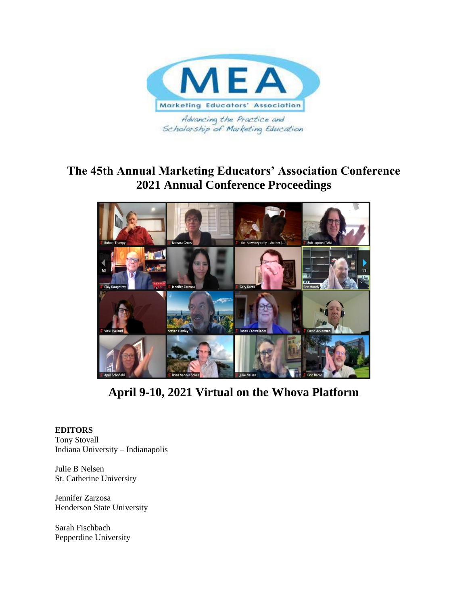

# **The 45th Annual Marketing Educators' Association Conference 2021 Annual Conference Proceedings**



**April 9-10, 2021 Virtual on the Whova Platform**

## **EDITORS**

Tony Stovall Indiana University – Indianapolis

Julie B Nelsen St. Catherine University

Jennifer Zarzosa Henderson State University

Sarah Fischbach Pepperdine University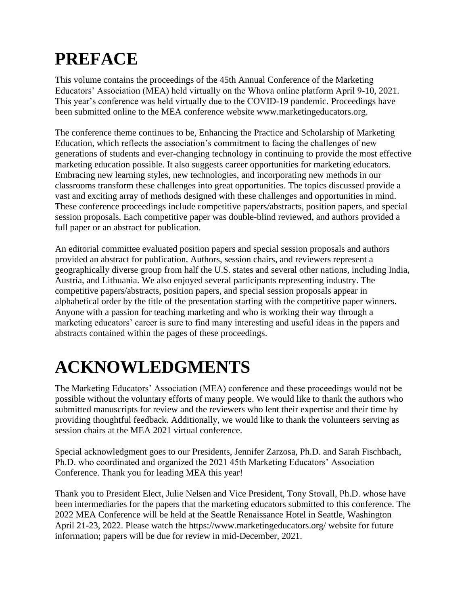# **PREFACE**

This volume contains the proceedings of the 45th Annual Conference of the Marketing Educators' Association (MEA) held virtually on the Whova online platform April 9-10, 2021. This year's conference was held virtually due to the COVID-19 pandemic. Proceedings have been submitted online to the MEA conference website [www.marketingeducators.org.](http://www.marketingeducators.org/)

The conference theme continues to be, Enhancing the Practice and Scholarship of Marketing Education, which reflects the association's commitment to facing the challenges of new generations of students and ever-changing technology in continuing to provide the most effective marketing education possible. It also suggests career opportunities for marketing educators. Embracing new learning styles, new technologies, and incorporating new methods in our classrooms transform these challenges into great opportunities. The topics discussed provide a vast and exciting array of methods designed with these challenges and opportunities in mind. These conference proceedings include competitive papers/abstracts, position papers, and special session proposals. Each competitive paper was double-blind reviewed, and authors provided a full paper or an abstract for publication.

An editorial committee evaluated position papers and special session proposals and authors provided an abstract for publication. Authors, session chairs, and reviewers represent a geographically diverse group from half the U.S. states and several other nations, including India, Austria, and Lithuania. We also enjoyed several participants representing industry. The competitive papers/abstracts, position papers, and special session proposals appear in alphabetical order by the title of the presentation starting with the competitive paper winners. Anyone with a passion for teaching marketing and who is working their way through a marketing educators' career is sure to find many interesting and useful ideas in the papers and abstracts contained within the pages of these proceedings.

# **ACKNOWLEDGMENTS**

The Marketing Educators' Association (MEA) conference and these proceedings would not be possible without the voluntary efforts of many people. We would like to thank the authors who submitted manuscripts for review and the reviewers who lent their expertise and their time by providing thoughtful feedback. Additionally, we would like to thank the volunteers serving as session chairs at the MEA 2021 virtual conference.

Special acknowledgment goes to our Presidents, Jennifer Zarzosa, Ph.D. and Sarah Fischbach, Ph.D. who coordinated and organized the 2021 45th Marketing Educators' Association Conference. Thank you for leading MEA this year!

Thank you to President Elect, Julie Nelsen and Vice President, Tony Stovall, Ph.D. whose have been intermediaries for the papers that the marketing educators submitted to this conference. The 2022 MEA Conference will be held at the Seattle Renaissance Hotel in Seattle, Washington April 21-23, 2022. Please watch the https://www.marketingeducators.org/ website for future information; papers will be due for review in mid-December, 2021.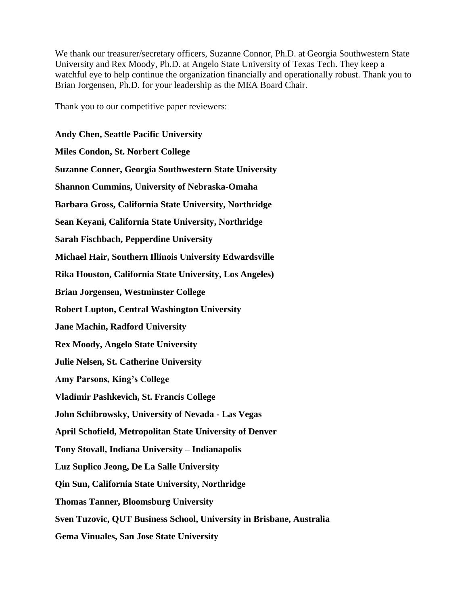We thank our treasurer/secretary officers, Suzanne Connor, Ph.D. at Georgia Southwestern State University and Rex Moody, Ph.D. at Angelo State University of Texas Tech. They keep a watchful eye to help continue the organization financially and operationally robust. Thank you to Brian Jorgensen, Ph.D. for your leadership as the MEA Board Chair.

Thank you to our competitive paper reviewers:

**Andy Chen, Seattle Pacific University Miles Condon, St. Norbert College Suzanne Conner, Georgia Southwestern State University Shannon Cummins, University of Nebraska-Omaha Barbara Gross, California State University, Northridge Sean Keyani, California State University, Northridge Sarah Fischbach, Pepperdine University Michael Hair, Southern Illinois University Edwardsville Rika Houston, California State University, Los Angeles) Brian Jorgensen, Westminster College Robert Lupton, Central Washington University Jane Machin, Radford University Rex Moody, Angelo State University Julie Nelsen, St. Catherine University Amy Parsons, King's College Vladimir Pashkevich, St. Francis College John Schibrowsky, University of Nevada - Las Vegas April Schofield, Metropolitan State University of Denver Tony Stovall, Indiana University – Indianapolis Luz Suplico Jeong, De La Salle University Qin Sun, California State University, Northridge Thomas Tanner, Bloomsburg University Sven Tuzovic, QUT Business School, University in Brisbane, Australia Gema Vinuales, San Jose State University**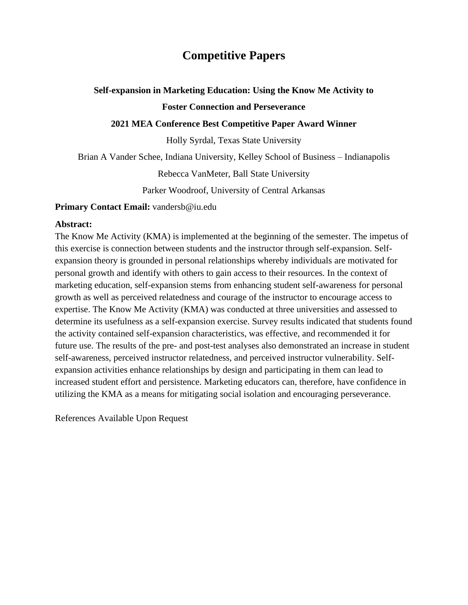# **Competitive Papers**

## **Self-expansion in Marketing Education: Using the Know Me Activity to Foster Connection and Perseverance**

## **2021 MEA Conference Best Competitive Paper Award Winner**

Holly Syrdal, Texas State University

Brian A Vander Schee, Indiana University, Kelley School of Business – Indianapolis

Rebecca VanMeter, Ball State University

Parker Woodroof, University of Central Arkansas

**Primary Contact Email:** vandersb@iu.edu

#### **Abstract:**

The Know Me Activity (KMA) is implemented at the beginning of the semester. The impetus of this exercise is connection between students and the instructor through self-expansion. Selfexpansion theory is grounded in personal relationships whereby individuals are motivated for personal growth and identify with others to gain access to their resources. In the context of marketing education, self-expansion stems from enhancing student self-awareness for personal growth as well as perceived relatedness and courage of the instructor to encourage access to expertise. The Know Me Activity (KMA) was conducted at three universities and assessed to determine its usefulness as a self-expansion exercise. Survey results indicated that students found the activity contained self-expansion characteristics, was effective, and recommended it for future use. The results of the pre- and post-test analyses also demonstrated an increase in student self-awareness, perceived instructor relatedness, and perceived instructor vulnerability. Selfexpansion activities enhance relationships by design and participating in them can lead to increased student effort and persistence. Marketing educators can, therefore, have confidence in utilizing the KMA as a means for mitigating social isolation and encouraging perseverance.

References Available Upon Request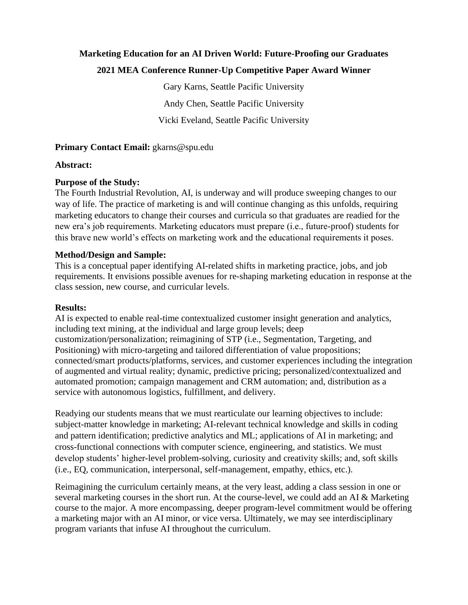# **Marketing Education for an AI Driven World: Future-Proofing our Graduates**

## **2021 MEA Conference Runner-Up Competitive Paper Award Winner**

Gary Karns, Seattle Pacific University Andy Chen, Seattle Pacific University Vicki Eveland, Seattle Pacific University

## **Primary Contact Email:** gkarns@spu.edu

## **Abstract:**

## **Purpose of the Study:**

The Fourth Industrial Revolution, AI, is underway and will produce sweeping changes to our way of life. The practice of marketing is and will continue changing as this unfolds, requiring marketing educators to change their courses and curricula so that graduates are readied for the new era's job requirements. Marketing educators must prepare (i.e., future-proof) students for this brave new world's effects on marketing work and the educational requirements it poses.

## **Method/Design and Sample:**

This is a conceptual paper identifying AI-related shifts in marketing practice, jobs, and job requirements. It envisions possible avenues for re-shaping marketing education in response at the class session, new course, and curricular levels.

## **Results:**

AI is expected to enable real-time contextualized customer insight generation and analytics, including text mining, at the individual and large group levels; deep customization/personalization; reimagining of STP (i.e., Segmentation, Targeting, and Positioning) with micro-targeting and tailored differentiation of value propositions; connected/smart products/platforms, services, and customer experiences including the integration of augmented and virtual reality; dynamic, predictive pricing; personalized/contextualized and automated promotion; campaign management and CRM automation; and, distribution as a service with autonomous logistics, fulfillment, and delivery.

Readying our students means that we must rearticulate our learning objectives to include: subject-matter knowledge in marketing; AI-relevant technical knowledge and skills in coding and pattern identification; predictive analytics and ML; applications of AI in marketing; and cross-functional connections with computer science, engineering, and statistics. We must develop students' higher-level problem-solving, curiosity and creativity skills; and, soft skills (i.e., EQ, communication, interpersonal, self-management, empathy, ethics, etc.).

Reimagining the curriculum certainly means, at the very least, adding a class session in one or several marketing courses in the short run. At the course-level, we could add an AI & Marketing course to the major. A more encompassing, deeper program-level commitment would be offering a marketing major with an AI minor, or vice versa. Ultimately, we may see interdisciplinary program variants that infuse AI throughout the curriculum.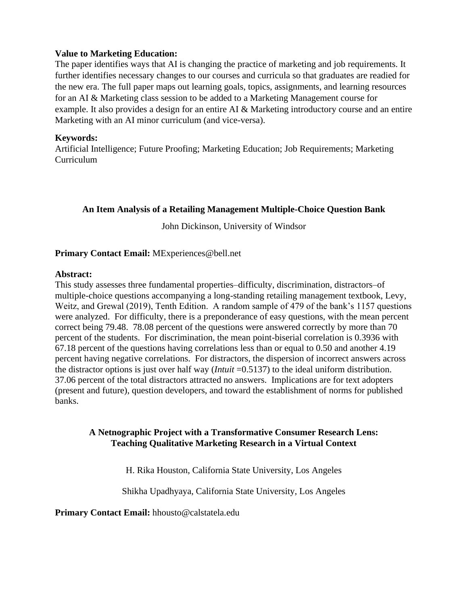## **Value to Marketing Education:**

The paper identifies ways that AI is changing the practice of marketing and job requirements. It further identifies necessary changes to our courses and curricula so that graduates are readied for the new era. The full paper maps out learning goals, topics, assignments, and learning resources for an AI & Marketing class session to be added to a Marketing Management course for example. It also provides a design for an entire AI & Marketing introductory course and an entire Marketing with an AI minor curriculum (and vice-versa).

## **Keywords:**

Artificial Intelligence; Future Proofing; Marketing Education; Job Requirements; Marketing Curriculum

## **An Item Analysis of a Retailing Management Multiple-Choice Question Bank**

John Dickinson, University of Windsor

## **Primary Contact Email:** MExperiences@bell.net

## **Abstract:**

This study assesses three fundamental properties–difficulty, discrimination, distractors–of multiple-choice questions accompanying a long-standing retailing management textbook, Levy, Weitz, and Grewal (2019), Tenth Edition. A random sample of 479 of the bank's 1157 questions were analyzed. For difficulty, there is a preponderance of easy questions, with the mean percent correct being 79.48. 78.08 percent of the questions were answered correctly by more than 70 percent of the students. For discrimination, the mean point-biserial correlation is 0.3936 with 67.18 percent of the questions having correlations less than or equal to 0.50 and another 4.19 percent having negative correlations. For distractors, the dispersion of incorrect answers across the distractor options is just over half way (*Intuit* =0.5137) to the ideal uniform distribution. 37.06 percent of the total distractors attracted no answers. Implications are for text adopters (present and future), question developers, and toward the establishment of norms for published banks.

## **A Netnographic Project with a Transformative Consumer Research Lens: Teaching Qualitative Marketing Research in a Virtual Context**

H. Rika Houston, California State University, Los Angeles

Shikha Upadhyaya, California State University, Los Angeles

**Primary Contact Email:** hhousto@calstatela.edu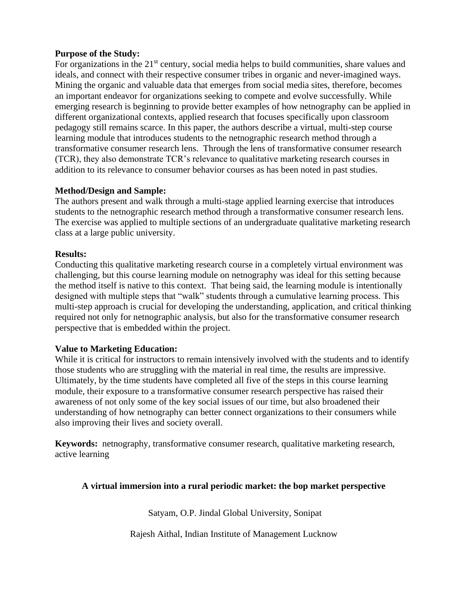## **Purpose of the Study:**

For organizations in the  $21<sup>st</sup>$  century, social media helps to build communities, share values and ideals, and connect with their respective consumer tribes in organic and never-imagined ways. Mining the organic and valuable data that emerges from social media sites, therefore, becomes an important endeavor for organizations seeking to compete and evolve successfully. While emerging research is beginning to provide better examples of how netnography can be applied in different organizational contexts, applied research that focuses specifically upon classroom pedagogy still remains scarce. In this paper, the authors describe a virtual, multi-step course learning module that introduces students to the netnographic research method through a transformative consumer research lens. Through the lens of transformative consumer research (TCR), they also demonstrate TCR's relevance to qualitative marketing research courses in addition to its relevance to consumer behavior courses as has been noted in past studies.

## **Method/Design and Sample:**

The authors present and walk through a multi-stage applied learning exercise that introduces students to the netnographic research method through a transformative consumer research lens. The exercise was applied to multiple sections of an undergraduate qualitative marketing research class at a large public university.

## **Results:**

Conducting this qualitative marketing research course in a completely virtual environment was challenging, but this course learning module on netnography was ideal for this setting because the method itself is native to this context. That being said, the learning module is intentionally designed with multiple steps that "walk" students through a cumulative learning process. This multi-step approach is crucial for developing the understanding, application, and critical thinking required not only for netnographic analysis, but also for the transformative consumer research perspective that is embedded within the project.

## **Value to Marketing Education:**

While it is critical for instructors to remain intensively involved with the students and to identify those students who are struggling with the material in real time, the results are impressive. Ultimately, by the time students have completed all five of the steps in this course learning module, their exposure to a transformative consumer research perspective has raised their awareness of not only some of the key social issues of our time, but also broadened their understanding of how netnography can better connect organizations to their consumers while also improving their lives and society overall.

**Keywords:** netnography, transformative consumer research, qualitative marketing research, active learning

## **A virtual immersion into a rural periodic market: the bop market perspective**

Satyam, O.P. Jindal Global University, Sonipat

Rajesh Aithal, Indian Institute of Management Lucknow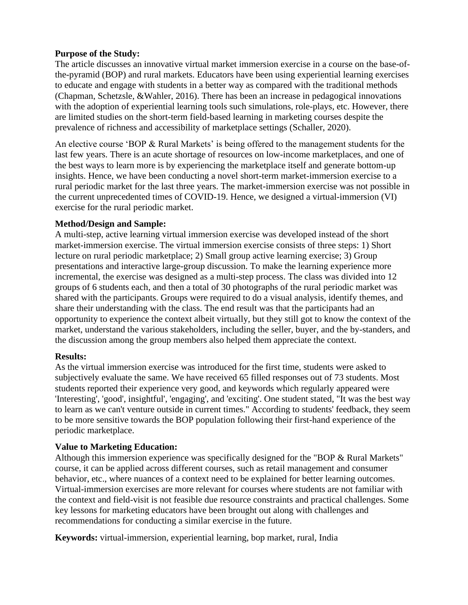## **Purpose of the Study:**

The article discusses an innovative virtual market immersion exercise in a course on the base-ofthe-pyramid (BOP) and rural markets. Educators have been using experiential learning exercises to educate and engage with students in a better way as compared with the traditional methods (Chapman, Schetzsle, &Wahler, 2016). There has been an increase in pedagogical innovations with the adoption of experiential learning tools such simulations, role-plays, etc. However, there are limited studies on the short-term field-based learning in marketing courses despite the prevalence of richness and accessibility of marketplace settings (Schaller, 2020).

An elective course 'BOP & Rural Markets' is being offered to the management students for the last few years. There is an acute shortage of resources on low-income marketplaces, and one of the best ways to learn more is by experiencing the marketplace itself and generate bottom-up insights. Hence, we have been conducting a novel short-term market-immersion exercise to a rural periodic market for the last three years. The market-immersion exercise was not possible in the current unprecedented times of COVID-19. Hence, we designed a virtual-immersion (VI) exercise for the rural periodic market.

## **Method/Design and Sample:**

A multi-step, active learning virtual immersion exercise was developed instead of the short market-immersion exercise. The virtual immersion exercise consists of three steps: 1) Short lecture on rural periodic marketplace; 2) Small group active learning exercise; 3) Group presentations and interactive large-group discussion. To make the learning experience more incremental, the exercise was designed as a multi-step process. The class was divided into 12 groups of 6 students each, and then a total of 30 photographs of the rural periodic market was shared with the participants. Groups were required to do a visual analysis, identify themes, and share their understanding with the class. The end result was that the participants had an opportunity to experience the context albeit virtually, but they still got to know the context of the market, understand the various stakeholders, including the seller, buyer, and the by-standers, and the discussion among the group members also helped them appreciate the context.

## **Results:**

As the virtual immersion exercise was introduced for the first time, students were asked to subjectively evaluate the same. We have received 65 filled responses out of 73 students. Most students reported their experience very good, and keywords which regularly appeared were 'Interesting', 'good', insightful', 'engaging', and 'exciting'. One student stated, "It was the best way to learn as we can't venture outside in current times." According to students' feedback, they seem to be more sensitive towards the BOP population following their first-hand experience of the periodic marketplace.

## **Value to Marketing Education:**

Although this immersion experience was specifically designed for the "BOP & Rural Markets" course, it can be applied across different courses, such as retail management and consumer behavior, etc., where nuances of a context need to be explained for better learning outcomes. Virtual-immersion exercises are more relevant for courses where students are not familiar with the context and field-visit is not feasible due resource constraints and practical challenges. Some key lessons for marketing educators have been brought out along with challenges and recommendations for conducting a similar exercise in the future.

**Keywords:** virtual-immersion, experiential learning, bop market, rural, India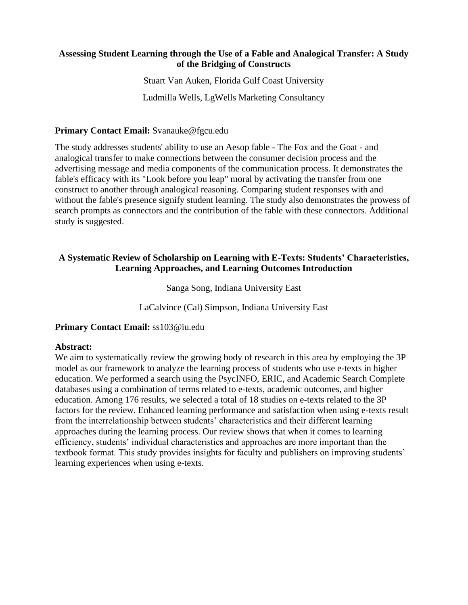## **Assessing Student Learning through the Use of a Fable and Analogical Transfer: A Study of the Bridging of Constructs**

Stuart Van Auken, Florida Gulf Coast University

Ludmilla Wells, LgWells Marketing Consultancy

## **Primary Contact Email:** Svanauke@fgcu.edu

The study addresses students' ability to use an Aesop fable - The Fox and the Goat - and analogical transfer to make connections between the consumer decision process and the advertising message and media components of the communication process. It demonstrates the fable's efficacy with its "Look before you leap" moral by activating the transfer from one construct to another through analogical reasoning. Comparing student responses with and without the fable's presence signify student learning. The study also demonstrates the prowess of search prompts as connectors and the contribution of the fable with these connectors. Additional study is suggested.

## **A Systematic Review of Scholarship on Learning with E-Texts: Students' Characteristics, Learning Approaches, and Learning Outcomes Introduction**

Sanga Song, Indiana University East

LaCalvince (Cal) Simpson, Indiana University East

## **Primary Contact Email:** ss103@iu.edu

## **Abstract:**

We aim to systematically review the growing body of research in this area by employing the 3P model as our framework to analyze the learning process of students who use e-texts in higher education. We performed a search using the PsycINFO, ERIC, and Academic Search Complete databases using a combination of terms related to e-texts, academic outcomes, and higher education. Among 176 results, we selected a total of 18 studies on e-texts related to the 3P factors for the review. Enhanced learning performance and satisfaction when using e-texts result from the interrelationship between students' characteristics and their different learning approaches during the learning process. Our review shows that when it comes to learning efficiency, students' individual characteristics and approaches are more important than the textbook format. This study provides insights for faculty and publishers on improving students' learning experiences when using e-texts.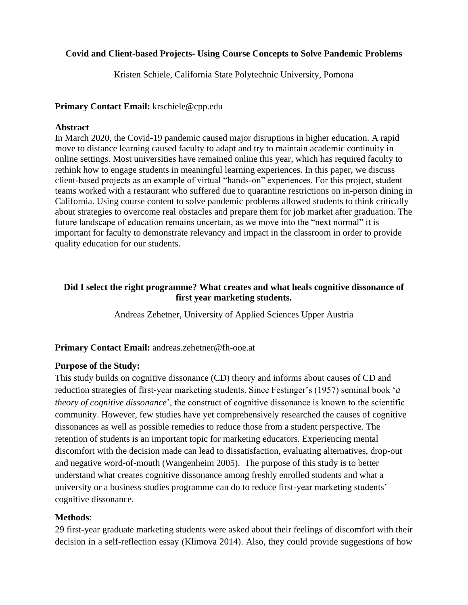## **Covid and Client-based Projects- Using Course Concepts to Solve Pandemic Problems**

Kristen Schiele, California State Polytechnic University, Pomona

## **Primary Contact Email:** krschiele@cpp.edu

## **Abstract**

In March 2020, the Covid-19 pandemic caused major disruptions in higher education. A rapid move to distance learning caused faculty to adapt and try to maintain academic continuity in online settings. Most universities have remained online this year, which has required faculty to rethink how to engage students in meaningful learning experiences. In this paper, we discuss client-based projects as an example of virtual "hands-on" experiences. For this project, student teams worked with a restaurant who suffered due to quarantine restrictions on in-person dining in California. Using course content to solve pandemic problems allowed students to think critically about strategies to overcome real obstacles and prepare them for job market after graduation. The future landscape of education remains uncertain, as we move into the "next normal" it is important for faculty to demonstrate relevancy and impact in the classroom in order to provide quality education for our students.

## **Did I select the right programme? What creates and what heals cognitive dissonance of first year marketing students.**

Andreas Zehetner, University of Applied Sciences Upper Austria

## **Primary Contact Email:** andreas.zehetner@fh-ooe.at

## **Purpose of the Study:**

This study builds on cognitive dissonance (CD) theory and informs about causes of CD and reduction strategies of first-year marketing students. Since Festinger's (1957) seminal book '*a theory of cognitive dissonance*', the construct of cognitive dissonance is known to the scientific community. However, few studies have yet comprehensively researched the causes of cognitive dissonances as well as possible remedies to reduce those from a student perspective. The retention of students is an important topic for marketing educators. Experiencing mental discomfort with the decision made can lead to dissatisfaction, evaluating alternatives, drop-out and negative word-of-mouth (Wangenheim 2005). The purpose of this study is to better understand what creates cognitive dissonance among freshly enrolled students and what a university or a business studies programme can do to reduce first-year marketing students' cognitive dissonance.

## **Methods**:

29 first-year graduate marketing students were asked about their feelings of discomfort with their decision in a self-reflection essay (Klimova 2014). Also, they could provide suggestions of how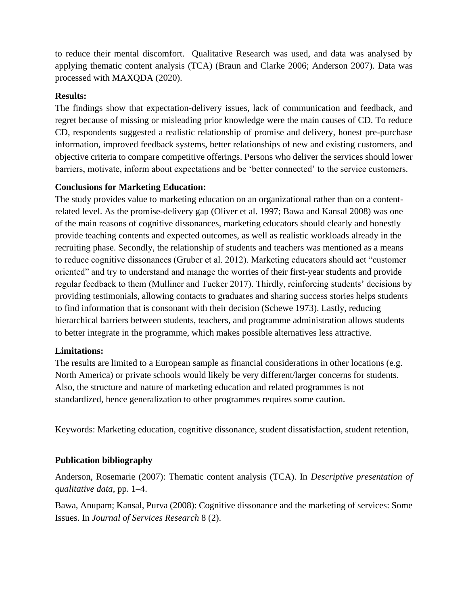to reduce their mental discomfort. Qualitative Research was used, and data was analysed by applying thematic content analysis (TCA) (Braun and Clarke 2006; Anderson 2007). Data was processed with MAXQDA (2020).

## **Results:**

The findings show that expectation-delivery issues, lack of communication and feedback, and regret because of missing or misleading prior knowledge were the main causes of CD. To reduce CD, respondents suggested a realistic relationship of promise and delivery, honest pre-purchase information, improved feedback systems, better relationships of new and existing customers, and objective criteria to compare competitive offerings. Persons who deliver the services should lower barriers, motivate, inform about expectations and be 'better connected' to the service customers.

## **Conclusions for Marketing Education:**

The study provides value to marketing education on an organizational rather than on a contentrelated level. As the promise-delivery gap (Oliver et al. 1997; Bawa and Kansal 2008) was one of the main reasons of cognitive dissonances, marketing educators should clearly and honestly provide teaching contents and expected outcomes, as well as realistic workloads already in the recruiting phase. Secondly, the relationship of students and teachers was mentioned as a means to reduce cognitive dissonances (Gruber et al. 2012). Marketing educators should act "customer oriented" and try to understand and manage the worries of their first-year students and provide regular feedback to them (Mulliner and Tucker 2017). Thirdly, reinforcing students' decisions by providing testimonials, allowing contacts to graduates and sharing success stories helps students to find information that is consonant with their decision (Schewe 1973). Lastly, reducing hierarchical barriers between students, teachers, and programme administration allows students to better integrate in the programme, which makes possible alternatives less attractive.

## **Limitations:**

The results are limited to a European sample as financial considerations in other locations (e.g. North America) or private schools would likely be very different/larger concerns for students. Also, the structure and nature of marketing education and related programmes is not standardized, hence generalization to other programmes requires some caution.

Keywords: Marketing education, cognitive dissonance, student dissatisfaction, student retention,

## **Publication bibliography**

Anderson, Rosemarie (2007): Thematic content analysis (TCA). In *Descriptive presentation of qualitative data*, pp. 1–4.

Bawa, Anupam; Kansal, Purva (2008): Cognitive dissonance and the marketing of services: Some Issues. In *Journal of Services Research* 8 (2).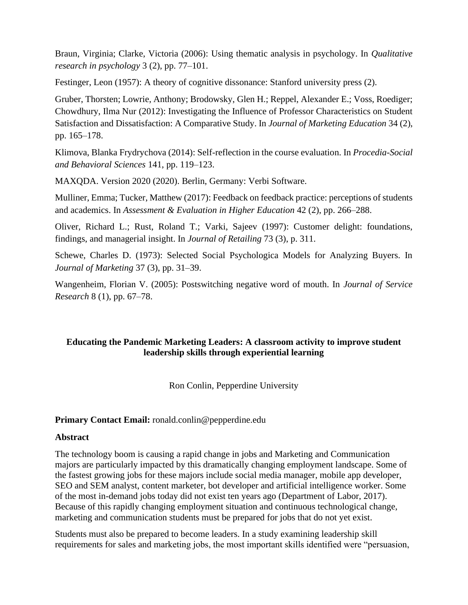Braun, Virginia; Clarke, Victoria (2006): Using thematic analysis in psychology. In *Qualitative research in psychology* 3 (2), pp. 77–101.

Festinger, Leon (1957): A theory of cognitive dissonance: Stanford university press (2).

Gruber, Thorsten; Lowrie, Anthony; Brodowsky, Glen H.; Reppel, Alexander E.; Voss, Roediger; Chowdhury, Ilma Nur (2012): Investigating the Influence of Professor Characteristics on Student Satisfaction and Dissatisfaction: A Comparative Study. In *Journal of Marketing Education* 34 (2), pp. 165–178.

Klimova, Blanka Frydrychova (2014): Self-reflection in the course evaluation. In *Procedia-Social and Behavioral Sciences* 141, pp. 119–123.

MAXQDA. Version 2020 (2020). Berlin, Germany: Verbi Software.

Mulliner, Emma; Tucker, Matthew (2017): Feedback on feedback practice: perceptions of students and academics. In *Assessment & Evaluation in Higher Education* 42 (2), pp. 266–288.

Oliver, Richard L.; Rust, Roland T.; Varki, Sajeev (1997): Customer delight: foundations, findings, and managerial insight. In *Journal of Retailing* 73 (3), p. 311.

Schewe, Charles D. (1973): Selected Social Psychologica Models for Analyzing Buyers. In *Journal of Marketing* 37 (3), pp. 31–39.

Wangenheim, Florian V. (2005): Postswitching negative word of mouth. In *Journal of Service Research* 8 (1), pp. 67–78.

## **Educating the Pandemic Marketing Leaders: A classroom activity to improve student leadership skills through experiential learning**

Ron Conlin, Pepperdine University

## **Primary Contact Email:** ronald.conlin@pepperdine.edu

## **Abstract**

The technology boom is causing a rapid change in jobs and Marketing and Communication majors are particularly impacted by this dramatically changing employment landscape. Some of the fastest growing jobs for these majors include social media manager, mobile app developer, SEO and SEM analyst, content marketer, bot developer and artificial intelligence worker. Some of the most in-demand jobs today did not exist ten years ago (Department of Labor, 2017). Because of this rapidly changing employment situation and continuous technological change, marketing and communication students must be prepared for jobs that do not yet exist.

Students must also be prepared to become leaders. In a study examining leadership skill requirements for sales and marketing jobs, the most important skills identified were "persuasion,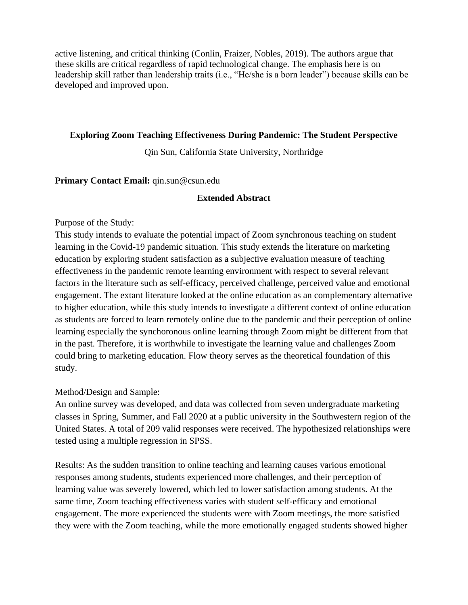active listening, and critical thinking (Conlin, Fraizer, Nobles, 2019). The authors argue that these skills are critical regardless of rapid technological change. The emphasis here is on leadership skill rather than leadership traits (i.e., "He/she is a born leader") because skills can be developed and improved upon.

## **Exploring Zoom Teaching Effectiveness During Pandemic: The Student Perspective**

Qin Sun, California State University, Northridge

**Primary Contact Email:** qin.sun@csun.edu

## **Extended Abstract**

## Purpose of the Study:

This study intends to evaluate the potential impact of Zoom synchronous teaching on student learning in the Covid-19 pandemic situation. This study extends the literature on marketing education by exploring student satisfaction as a subjective evaluation measure of teaching effectiveness in the pandemic remote learning environment with respect to several relevant factors in the literature such as self-efficacy, perceived challenge, perceived value and emotional engagement. The extant literature looked at the online education as an complementary alternative to higher education, while this study intends to investigate a different context of online education as students are forced to learn remotely online due to the pandemic and their perception of online learning especially the synchoronous online learning through Zoom might be different from that in the past. Therefore, it is worthwhile to investigate the learning value and challenges Zoom could bring to marketing education. Flow theory serves as the theoretical foundation of this study.

## Method/Design and Sample:

An online survey was developed, and data was collected from seven undergraduate marketing classes in Spring, Summer, and Fall 2020 at a public university in the Southwestern region of the United States. A total of 209 valid responses were received. The hypothesized relationships were tested using a multiple regression in SPSS.

Results: As the sudden transition to online teaching and learning causes various emotional responses among students, students experienced more challenges, and their perception of learning value was severely lowered, which led to lower satisfaction among students. At the same time, Zoom teaching effectiveness varies with student self-efficacy and emotional engagement. The more experienced the students were with Zoom meetings, the more satisfied they were with the Zoom teaching, while the more emotionally engaged students showed higher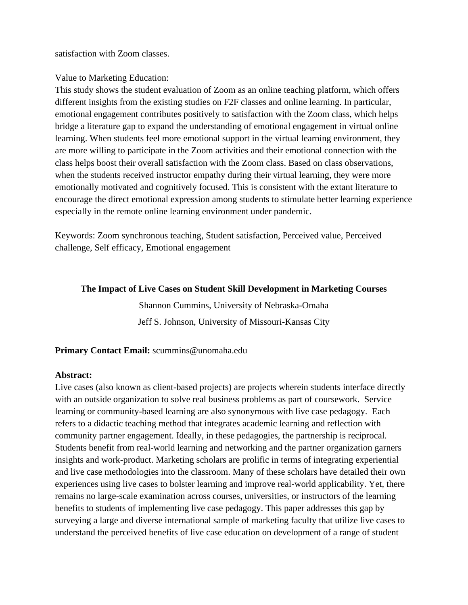satisfaction with Zoom classes.

## Value to Marketing Education:

This study shows the student evaluation of Zoom as an online teaching platform, which offers different insights from the existing studies on F2F classes and online learning. In particular, emotional engagement contributes positively to satisfaction with the Zoom class, which helps bridge a literature gap to expand the understanding of emotional engagement in virtual online learning. When students feel more emotional support in the virtual learning environment, they are more willing to participate in the Zoom activities and their emotional connection with the class helps boost their overall satisfaction with the Zoom class. Based on class observations, when the students received instructor empathy during their virtual learning, they were more emotionally motivated and cognitively focused. This is consistent with the extant literature to encourage the direct emotional expression among students to stimulate better learning experience especially in the remote online learning environment under pandemic.

Keywords: Zoom synchronous teaching, Student satisfaction, Perceived value, Perceived challenge, Self efficacy, Emotional engagement

#### **The Impact of Live Cases on Student Skill Development in Marketing Courses**

Shannon Cummins, University of Nebraska-Omaha Jeff S. Johnson, University of Missouri-Kansas City

## **Primary Contact Email:** scummins@unomaha.edu

## **Abstract:**

Live cases (also known as client-based projects) are projects wherein students interface directly with an outside organization to solve real business problems as part of coursework. Service learning or community-based learning are also synonymous with live case pedagogy. Each refers to a didactic teaching method that integrates academic learning and reflection with community partner engagement. Ideally, in these pedagogies, the partnership is reciprocal. Students benefit from real-world learning and networking and the partner organization garners insights and work-product. Marketing scholars are prolific in terms of integrating experiential and live case methodologies into the classroom. Many of these scholars have detailed their own experiences using live cases to bolster learning and improve real-world applicability. Yet, there remains no large-scale examination across courses, universities, or instructors of the learning benefits to students of implementing live case pedagogy. This paper addresses this gap by surveying a large and diverse international sample of marketing faculty that utilize live cases to understand the perceived benefits of live case education on development of a range of student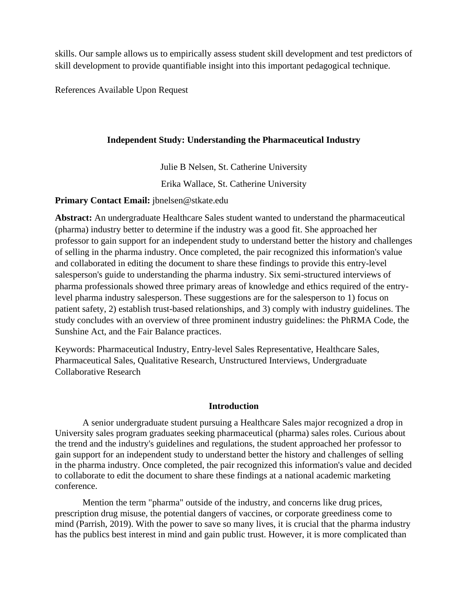skills. Our sample allows us to empirically assess student skill development and test predictors of skill development to provide quantifiable insight into this important pedagogical technique.

References Available Upon Request

## **Independent Study: Understanding the Pharmaceutical Industry**

Julie B Nelsen, St. Catherine University

Erika Wallace, St. Catherine University

**Primary Contact Email:** jbnelsen@stkate.edu

**Abstract:** An undergraduate Healthcare Sales student wanted to understand the pharmaceutical (pharma) industry better to determine if the industry was a good fit. She approached her professor to gain support for an independent study to understand better the history and challenges of selling in the pharma industry. Once completed, the pair recognized this information's value and collaborated in editing the document to share these findings to provide this entry-level salesperson's guide to understanding the pharma industry. Six semi-structured interviews of pharma professionals showed three primary areas of knowledge and ethics required of the entrylevel pharma industry salesperson. These suggestions are for the salesperson to 1) focus on patient safety, 2) establish trust-based relationships, and 3) comply with industry guidelines. The study concludes with an overview of three prominent industry guidelines: the PhRMA Code, the Sunshine Act, and the Fair Balance practices.

Keywords: Pharmaceutical Industry, Entry-level Sales Representative, Healthcare Sales, Pharmaceutical Sales, Qualitative Research, Unstructured Interviews, Undergraduate Collaborative Research

## **Introduction**

A senior undergraduate student pursuing a Healthcare Sales major recognized a drop in University sales program graduates seeking pharmaceutical (pharma) sales roles. Curious about the trend and the industry's guidelines and regulations, the student approached her professor to gain support for an independent study to understand better the history and challenges of selling in the pharma industry. Once completed, the pair recognized this information's value and decided to collaborate to edit the document to share these findings at a national academic marketing conference.

Mention the term "pharma" outside of the industry, and concerns like drug prices, prescription drug misuse, the potential dangers of vaccines, or corporate greediness come to mind (Parrish, 2019). With the power to save so many lives, it is crucial that the pharma industry has the publics best interest in mind and gain public trust. However, it is more complicated than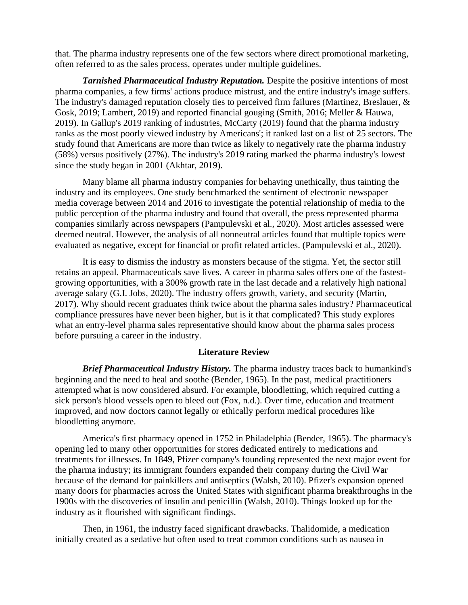that. The pharma industry represents one of the few sectors where direct promotional marketing, often referred to as the sales process, operates under multiple guidelines.

*Tarnished Pharmaceutical Industry Reputation.* Despite the positive intentions of most pharma companies, a few firms' actions produce mistrust, and the entire industry's image suffers. The industry's damaged reputation closely ties to perceived firm failures (Martinez, Breslauer, & Gosk, 2019; Lambert, 2019) and reported financial gouging (Smith, 2016; Meller & Hauwa, 2019). In Gallup's 2019 ranking of industries, McCarty (2019) found that the pharma industry ranks as the most poorly viewed industry by Americans'; it ranked last on a list of 25 sectors. The study found that Americans are more than twice as likely to negatively rate the pharma industry (58%) versus positively (27%). The industry's 2019 rating marked the pharma industry's lowest since the study began in 2001 (Akhtar, 2019).

Many blame all pharma industry companies for behaving unethically, thus tainting the industry and its employees. One study benchmarked the sentiment of electronic newspaper media coverage between 2014 and 2016 to investigate the potential relationship of media to the public perception of the pharma industry and found that overall, the press represented pharma companies similarly across newspapers (Pampulevski et al., 2020). Most articles assessed were deemed neutral. However, the analysis of all nonneutral articles found that multiple topics were evaluated as negative, except for financial or profit related articles. (Pampulevski et al., 2020).

It is easy to dismiss the industry as monsters because of the stigma. Yet, the sector still retains an appeal. Pharmaceuticals save lives. A career in pharma sales offers one of the fastestgrowing opportunities, with a 300% growth rate in the last decade and a relatively high national average salary (G.I. Jobs, 2020). The industry offers growth, variety, and security (Martin, 2017). Why should recent graduates think twice about the pharma sales industry? Pharmaceutical compliance pressures have never been higher, but is it that complicated? This study explores what an entry-level pharma sales representative should know about the pharma sales process before pursuing a career in the industry.

#### **Literature Review**

*Brief Pharmaceutical Industry History.* The pharma industry traces back to humankind's beginning and the need to heal and soothe (Bender, 1965). In the past, medical practitioners attempted what is now considered absurd. For example, bloodletting, which required cutting a sick person's blood vessels open to bleed out (Fox, n.d.). Over time, education and treatment improved, and now doctors cannot legally or ethically perform medical procedures like bloodletting anymore.

America's first pharmacy opened in 1752 in Philadelphia (Bender, 1965). The pharmacy's opening led to many other opportunities for stores dedicated entirely to medications and treatments for illnesses. In 1849, Pfizer company's founding represented the next major event for the pharma industry; its immigrant founders expanded their company during the Civil War because of the demand for painkillers and antiseptics (Walsh, 2010). Pfizer's expansion opened many doors for pharmacies across the United States with significant pharma breakthroughs in the 1900s with the discoveries of insulin and penicillin (Walsh, 2010). Things looked up for the industry as it flourished with significant findings.

Then, in 1961, the industry faced significant drawbacks. Thalidomide, a medication initially created as a sedative but often used to treat common conditions such as nausea in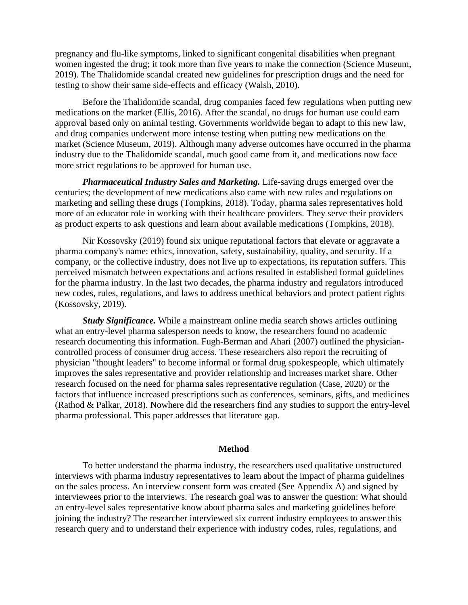pregnancy and flu-like symptoms, linked to significant congenital disabilities when pregnant women ingested the drug; it took more than five years to make the connection (Science Museum, 2019). The Thalidomide scandal created new guidelines for prescription drugs and the need for testing to show their same side-effects and efficacy (Walsh, 2010).

Before the Thalidomide scandal, drug companies faced few regulations when putting new medications on the market (Ellis, 2016). After the scandal, no drugs for human use could earn approval based only on animal testing. Governments worldwide began to adapt to this new law, and drug companies underwent more intense testing when putting new medications on the market (Science Museum, 2019). Although many adverse outcomes have occurred in the pharma industry due to the Thalidomide scandal, much good came from it, and medications now face more strict regulations to be approved for human use.

*Pharmaceutical Industry Sales and Marketing.* Life-saving drugs emerged over the centuries; the development of new medications also came with new rules and regulations on marketing and selling these drugs (Tompkins, 2018). Today, pharma sales representatives hold more of an educator role in working with their healthcare providers. They serve their providers as product experts to ask questions and learn about available medications (Tompkins, 2018).

Nir Kossovsky (2019) found six unique reputational factors that elevate or aggravate a pharma company's name: ethics, innovation, safety, sustainability, quality, and security. If a company, or the collective industry, does not live up to expectations, its reputation suffers. This perceived mismatch between expectations and actions resulted in established formal guidelines for the pharma industry. In the last two decades, the pharma industry and regulators introduced new codes, rules, regulations, and laws to address unethical behaviors and protect patient rights (Kossovsky, 2019).

*Study Significance.* While a mainstream online media search shows articles outlining what an entry-level pharma salesperson needs to know, the researchers found no academic research documenting this information. Fugh-Berman and Ahari (2007) outlined the physiciancontrolled process of consumer drug access. These researchers also report the recruiting of physician "thought leaders" to become informal or formal drug spokespeople, which ultimately improves the sales representative and provider relationship and increases market share. Other research focused on the need for pharma sales representative regulation (Case, 2020) or the factors that influence increased prescriptions such as conferences, seminars, gifts, and medicines (Rathod & Palkar, 2018). Nowhere did the researchers find any studies to support the entry-level pharma professional. This paper addresses that literature gap.

#### **Method**

To better understand the pharma industry, the researchers used qualitative unstructured interviews with pharma industry representatives to learn about the impact of pharma guidelines on the sales process. An interview consent form was created (See Appendix A) and signed by interviewees prior to the interviews. The research goal was to answer the question: What should an entry-level sales representative know about pharma sales and marketing guidelines before joining the industry? The researcher interviewed six current industry employees to answer this research query and to understand their experience with industry codes, rules, regulations, and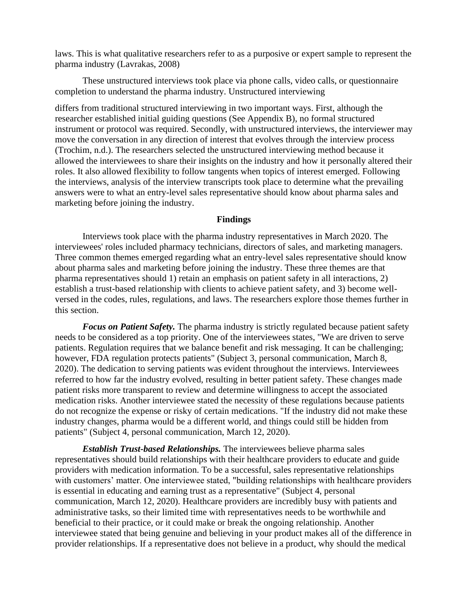laws. This is what qualitative researchers refer to as a purposive or expert sample to represent the pharma industry (Lavrakas, 2008)

These unstructured interviews took place via phone calls, video calls, or questionnaire completion to understand the pharma industry. Unstructured interviewing

differs from traditional structured interviewing in two important ways. First, although the researcher established initial guiding questions (See Appendix B), no formal structured instrument or protocol was required. Secondly, with unstructured interviews, the interviewer may move the conversation in any direction of interest that evolves through the interview process (Trochim, n.d.). The researchers selected the unstructured interviewing method because it allowed the interviewees to share their insights on the industry and how it personally altered their roles. It also allowed flexibility to follow tangents when topics of interest emerged. Following the interviews, analysis of the interview transcripts took place to determine what the prevailing answers were to what an entry-level sales representative should know about pharma sales and marketing before joining the industry.

#### **Findings**

Interviews took place with the pharma industry representatives in March 2020. The interviewees' roles included pharmacy technicians, directors of sales, and marketing managers. Three common themes emerged regarding what an entry-level sales representative should know about pharma sales and marketing before joining the industry. These three themes are that pharma representatives should 1) retain an emphasis on patient safety in all interactions, 2) establish a trust-based relationship with clients to achieve patient safety, and 3) become wellversed in the codes, rules, regulations, and laws. The researchers explore those themes further in this section.

*Focus on Patient Safety.* The pharma industry is strictly regulated because patient safety needs to be considered as a top priority. One of the interviewees states, "We are driven to serve patients. Regulation requires that we balance benefit and risk messaging. It can be challenging; however, FDA regulation protects patients" (Subject 3, personal communication, March 8, 2020). The dedication to serving patients was evident throughout the interviews. Interviewees referred to how far the industry evolved, resulting in better patient safety. These changes made patient risks more transparent to review and determine willingness to accept the associated medication risks. Another interviewee stated the necessity of these regulations because patients do not recognize the expense or risky of certain medications. "If the industry did not make these industry changes, pharma would be a different world, and things could still be hidden from patients" (Subject 4, personal communication, March 12, 2020).

*Establish Trust-based Relationships.* The interviewees believe pharma sales representatives should build relationships with their healthcare providers to educate and guide providers with medication information. To be a successful, sales representative relationships with customers' matter. One interviewee stated, "building relationships with healthcare providers is essential in educating and earning trust as a representative" (Subject 4, personal communication, March 12, 2020). Healthcare providers are incredibly busy with patients and administrative tasks, so their limited time with representatives needs to be worthwhile and beneficial to their practice, or it could make or break the ongoing relationship. Another interviewee stated that being genuine and believing in your product makes all of the difference in provider relationships. If a representative does not believe in a product, why should the medical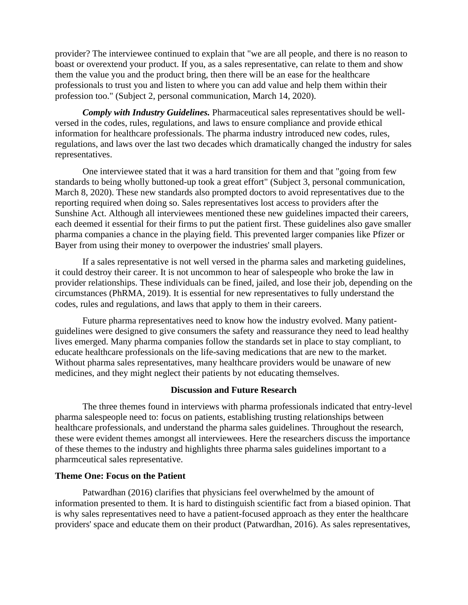provider? The interviewee continued to explain that "we are all people, and there is no reason to boast or overextend your product. If you, as a sales representative, can relate to them and show them the value you and the product bring, then there will be an ease for the healthcare professionals to trust you and listen to where you can add value and help them within their profession too." (Subject 2, personal communication, March 14, 2020).

*Comply with Industry Guidelines.* Pharmaceutical sales representatives should be wellversed in the codes, rules, regulations, and laws to ensure compliance and provide ethical information for healthcare professionals. The pharma industry introduced new codes, rules, regulations, and laws over the last two decades which dramatically changed the industry for sales representatives.

One interviewee stated that it was a hard transition for them and that "going from few standards to being wholly buttoned-up took a great effort" (Subject 3, personal communication, March 8, 2020). These new standards also prompted doctors to avoid representatives due to the reporting required when doing so. Sales representatives lost access to providers after the Sunshine Act. Although all interviewees mentioned these new guidelines impacted their careers, each deemed it essential for their firms to put the patient first. These guidelines also gave smaller pharma companies a chance in the playing field. This prevented larger companies like Pfizer or Bayer from using their money to overpower the industries' small players.

If a sales representative is not well versed in the pharma sales and marketing guidelines, it could destroy their career. It is not uncommon to hear of salespeople who broke the law in provider relationships. These individuals can be fined, jailed, and lose their job, depending on the circumstances (PhRMA, 2019). It is essential for new representatives to fully understand the codes, rules and regulations, and laws that apply to them in their careers.

Future pharma representatives need to know how the industry evolved. Many patientguidelines were designed to give consumers the safety and reassurance they need to lead healthy lives emerged. Many pharma companies follow the standards set in place to stay compliant, to educate healthcare professionals on the life-saving medications that are new to the market. Without pharma sales representatives, many healthcare providers would be unaware of new medicines, and they might neglect their patients by not educating themselves.

## **Discussion and Future Research**

The three themes found in interviews with pharma professionals indicated that entry-level pharma salespeople need to: focus on patients, establishing trusting relationships between healthcare professionals, and understand the pharma sales guidelines. Throughout the research, these were evident themes amongst all interviewees. Here the researchers discuss the importance of these themes to the industry and highlights three pharma sales guidelines important to a pharmceutical sales representative.

#### **Theme One: Focus on the Patient**

Patwardhan (2016) clarifies that physicians feel overwhelmed by the amount of information presented to them. It is hard to distinguish scientific fact from a biased opinion. That is why sales representatives need to have a patient-focused approach as they enter the healthcare providers' space and educate them on their product (Patwardhan, 2016). As sales representatives,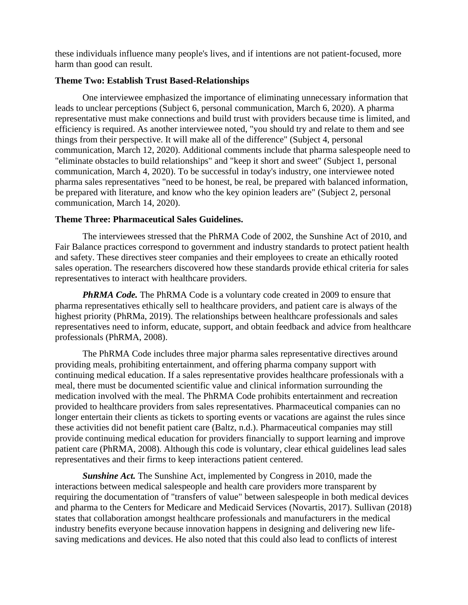these individuals influence many people's lives, and if intentions are not patient-focused, more harm than good can result.

## **Theme Two: Establish Trust Based-Relationships**

One interviewee emphasized the importance of eliminating unnecessary information that leads to unclear perceptions (Subject 6, personal communication, March 6, 2020). A pharma representative must make connections and build trust with providers because time is limited, and efficiency is required. As another interviewee noted, "you should try and relate to them and see things from their perspective. It will make all of the difference" (Subject 4, personal communication, March 12, 2020). Additional comments include that pharma salespeople need to "eliminate obstacles to build relationships" and "keep it short and sweet" (Subject 1, personal communication, March 4, 2020). To be successful in today's industry, one interviewee noted pharma sales representatives "need to be honest, be real, be prepared with balanced information, be prepared with literature, and know who the key opinion leaders are" (Subject 2, personal communication, March 14, 2020).

#### **Theme Three: Pharmaceutical Sales Guidelines.**

The interviewees stressed that the PhRMA Code of 2002, the Sunshine Act of 2010, and Fair Balance practices correspond to government and industry standards to protect patient health and safety. These directives steer companies and their employees to create an ethically rooted sales operation. The researchers discovered how these standards provide ethical criteria for sales representatives to interact with healthcare providers.

*PhRMA Code.* The PhRMA Code is a voluntary code created in 2009 to ensure that pharma representatives ethically sell to healthcare providers, and patient care is always of the highest priority (PhRMa, 2019). The relationships between healthcare professionals and sales representatives need to inform, educate, support, and obtain feedback and advice from healthcare professionals (PhRMA, 2008).

The PhRMA Code includes three major pharma sales representative directives around providing meals, prohibiting entertainment, and offering pharma company support with continuing medical education. If a sales representative provides healthcare professionals with a meal, there must be documented scientific value and clinical information surrounding the medication involved with the meal. The PhRMA Code prohibits entertainment and recreation provided to healthcare providers from sales representatives. Pharmaceutical companies can no longer entertain their clients as tickets to sporting events or vacations are against the rules since these activities did not benefit patient care (Baltz, n.d.). Pharmaceutical companies may still provide continuing medical education for providers financially to support learning and improve patient care (PhRMA, 2008). Although this code is voluntary, clear ethical guidelines lead sales representatives and their firms to keep interactions patient centered.

*Sunshine Act.* The Sunshine Act, implemented by Congress in 2010, made the interactions between medical salespeople and health care providers more transparent by requiring the documentation of "transfers of value" between salespeople in both medical devices and pharma to the Centers for Medicare and Medicaid Services (Novartis, 2017). Sullivan (2018) states that collaboration amongst healthcare professionals and manufacturers in the medical industry benefits everyone because innovation happens in designing and delivering new lifesaving medications and devices. He also noted that this could also lead to conflicts of interest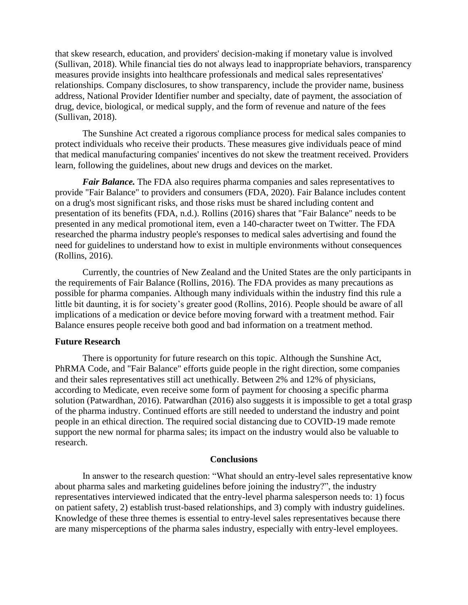that skew research, education, and providers' decision-making if monetary value is involved (Sullivan, 2018). While financial ties do not always lead to inappropriate behaviors, transparency measures provide insights into healthcare professionals and medical sales representatives' relationships. Company disclosures, to show transparency, include the provider name, business address, National Provider Identifier number and specialty, date of payment, the association of drug, device, biological, or medical supply, and the form of revenue and nature of the fees (Sullivan, 2018).

The Sunshine Act created a rigorous compliance process for medical sales companies to protect individuals who receive their products. These measures give individuals peace of mind that medical manufacturing companies' incentives do not skew the treatment received. Providers learn, following the guidelines, about new drugs and devices on the market.

*Fair Balance*. The FDA also requires pharma companies and sales representatives to provide "Fair Balance" to providers and consumers (FDA, 2020). Fair Balance includes content on a drug's most significant risks, and those risks must be shared including content and presentation of its benefits (FDA, n.d.). Rollins (2016) shares that "Fair Balance" needs to be presented in any medical promotional item, even a 140-character tweet on Twitter. The FDA researched the pharma industry people's responses to medical sales advertising and found the need for guidelines to understand how to exist in multiple environments without consequences (Rollins, 2016).

Currently, the countries of New Zealand and the United States are the only participants in the requirements of Fair Balance (Rollins, 2016). The FDA provides as many precautions as possible for pharma companies. Although many individuals within the industry find this rule a little bit daunting, it is for society's greater good (Rollins, 2016). People should be aware of all implications of a medication or device before moving forward with a treatment method. Fair Balance ensures people receive both good and bad information on a treatment method.

## **Future Research**

There is opportunity for future research on this topic. Although the Sunshine Act, PhRMA Code, and "Fair Balance" efforts guide people in the right direction, some companies and their sales representatives still act unethically. Between 2% and 12% of physicians, according to Medicate, even receive some form of payment for choosing a specific pharma solution (Patwardhan, 2016). Patwardhan (2016) also suggests it is impossible to get a total grasp of the pharma industry. Continued efforts are still needed to understand the industry and point people in an ethical direction. The required social distancing due to COVID-19 made remote support the new normal for pharma sales; its impact on the industry would also be valuable to research.

#### **Conclusions**

In answer to the research question: "What should an entry-level sales representative know about pharma sales and marketing guidelines before joining the industry?", the industry representatives interviewed indicated that the entry-level pharma salesperson needs to: 1) focus on patient safety, 2) establish trust-based relationships, and 3) comply with industry guidelines. Knowledge of these three themes is essential to entry-level sales representatives because there are many misperceptions of the pharma sales industry, especially with entry-level employees.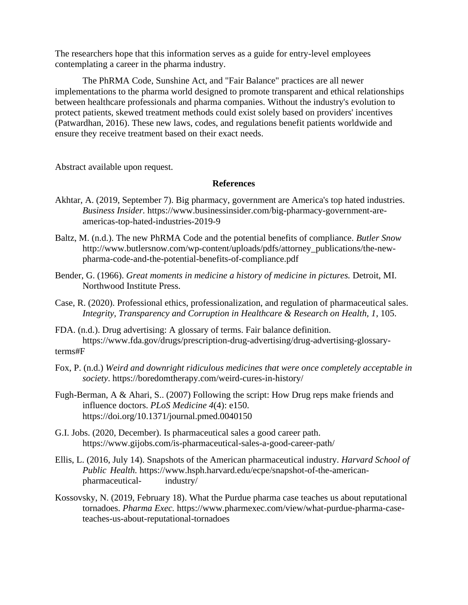The researchers hope that this information serves as a guide for entry-level employees contemplating a career in the pharma industry.

The PhRMA Code, Sunshine Act, and "Fair Balance" practices are all newer implementations to the pharma world designed to promote transparent and ethical relationships between healthcare professionals and pharma companies. Without the industry's evolution to protect patients, skewed treatment methods could exist solely based on providers' incentives (Patwardhan, 2016). These new laws, codes, and regulations benefit patients worldwide and ensure they receive treatment based on their exact needs.

Abstract available upon request.

#### **References**

- Akhtar, A. (2019, September 7). Big pharmacy, government are America's top hated industries. *Business Insider.* [https://www.businessinsider.com/big-pharmacy-government-are](about:blank)[americas-top-hated-industries-2019-9](about:blank)
- Baltz, M. (n.d.). The new PhRMA Code and the potential benefits of compliance. *Butler Snow* [http://www.butlersnow.com/wp-content/uploads/pdfs/attorney\\_publications/the-new](about:blank)[pharma-code-and-the-potential-benefits-of-compliance.pdf](about:blank)
- Bender, G. (1966). *Great moments in medicine a history of medicine in pictures.* Detroit, MI. Northwood Institute Press.
- Case, R. (2020). Professional ethics, professionalization, and regulation of pharmaceutical sales. *Integrity, Transparency and Corruption in Healthcare & Research on Health, 1*, 105.
- FDA. (n.d.). Drug advertising: A glossary of terms. Fair balance definition. https://www.fda.gov/drugs/prescription-drug-advertising/drug-advertising-glossaryterms#F
- Fox, P. (n.d.) *Weird and downright ridiculous medicines that were once completely acceptable in society*.<https://boredomtherapy.com/weird-cures-in-history/>
- Fugh-Berman, A & Ahari, S.. (2007) Following the script: How Drug reps make friends and influence doctors. *PLoS Medicine 4*(4): e150. https://doi.org/10.1371/journal.pmed.0040150
- G.I. Jobs. (2020, December). Is pharmaceutical sales a good career path. https://www.gijobs.com/is-pharmaceutical-sales-a-good-career-path/
- Ellis, L. (2016, July 14). Snapshots of the American pharmaceutical industry. *Harvard School of Public Health.* [https://www.hsph.harvard.edu/ecpe/snapshot-of-the-american](https://www.hsph.harvard.edu/ecpe/snapshot-of-the-american-%09pharmaceutical-%09industry/)[pharmaceutical-](https://www.hsph.harvard.edu/ecpe/snapshot-of-the-american-%09pharmaceutical-%09industry/) industry/
- Kossovsky, N. (2019, February 18). What the Purdue pharma case teaches us about reputational tornadoes. *Pharma Exec.* [https://www.pharmexec.com/view/what-purdue-pharma-case](about:blank)teaches-us-about-reputational-tornadoes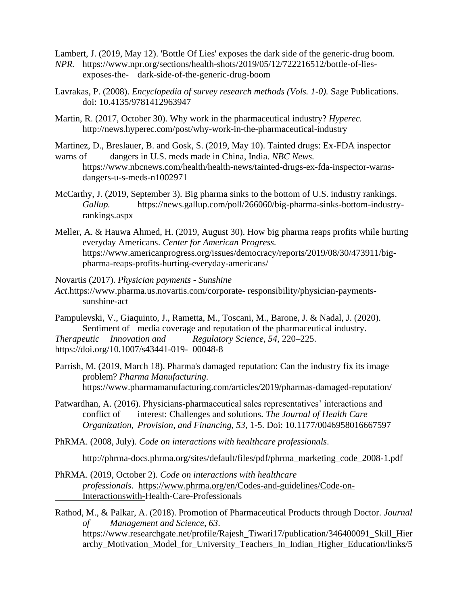Lambert, J. (2019, May 12). 'Bottle Of Lies' exposes the dark side of the generic-drug boom.

- *NPR.* [https://www.npr.org/sections/health-shots/2019/05/12/722216512/bottle-of-lies](https://www.npr.org/sections/health-shots/2019/05/12/722216512/bottle-of-lies-%09exposes-the-%09dark-side-of-the-generic-drug-boom)exposes-the- [dark-side-of-the-generic-drug-boom](https://www.npr.org/sections/health-shots/2019/05/12/722216512/bottle-of-lies-%09exposes-the-%09dark-side-of-the-generic-drug-boom)
- Lavrakas, P. (2008). *Encyclopedia of survey research methods (Vols. 1-0).* Sage Publications. doi: 10.4135/9781412963947
- Martin, R. (2017, October 30). Why work in the pharmaceutical industry? *Hyperec.*  http://news.hyperec.com/post/why-work-in-the-pharmaceutical-industry

Martinez, D., Breslauer, B. and Gosk, S. (2019, May 10). Tainted drugs: Ex-FDA inspector

- warns of dangers in U.S. meds made in China, India. *NBC News.* [https://www.nbcnews.com/health/health-news/tainted-drugs-ex-fda-inspector-warns](about:blank)[dangers-u-s-meds-n1002971](about:blank)
- McCarthy, J. (2019, September 3). Big pharma sinks to the bottom of U.S. industry rankings. *Gallup.* [https://news.gallup.com/poll/266060/big-pharma-sinks-bottom-industry](https://news.gallup.com/poll/266060/big-pharma-sinks-bottom-industry-)rankings.aspx
- Meller, A. & Hauwa Ahmed, H. (2019, August 30). How big pharma reaps profits while hurting everyday Americans. *Center for American Progress.* [https://www.americanprogress.org/issues/democracy/reports/2019/08/30/473911/big](about:blank)pharma-reaps-profits-hurting-everyday-americans/

Novartis (2017). *Physician payments - Sunshine* 

- *Act*[.https://www.pharma.us.novartis.com/corporate-](https://www.pharma.us.novartis.com/corporate-%09responsibility/physician-payments-%09sunshine-act) responsibility/physician-payments[sunshine-act](https://www.pharma.us.novartis.com/corporate-%09responsibility/physician-payments-%09sunshine-act)
- Pampulevski, V., Giaquinto, J., Rametta, M., Toscani, M., Barone, J. & Nadal, J. (2020). Sentiment of media coverage and reputation of the pharmaceutical industry. *Therapeutic Innovation and Regulatory Science, 54*, 220–225. [https://doi.org/10.1007/s43441-019-](about:blank) 00048-8
- Parrish, M. (2019, March 18). Pharma's damaged reputation: Can the industry fix its image problem? *Pharma Manufacturing.*  https://www.pharmamanufacturing.com/articles/2019/pharmas-damaged-reputation/
- Patwardhan, A. (2016). Physicians-pharmaceutical sales representatives' interactions and conflict of interest: Challenges and solutions. *The Journal of Health Care Organization, Provision, and Financing, 53*, 1-5. Doi: 10.1177/0046958016667597
- PhRMA. (2008, July). *Code on interactions with healthcare professionals*.

http://phrma-docs.phrma.org/sites/default/files/pdf/phrma\_marketing\_code\_2008-1.pdf

PhRMA. (2019, October 2). *Code on interactions with healthcare professionals*. [https://www.phrma.org/en/Codes-and-guidelines/Code-on-](https://www.phrma.org/en/Codes-and-guidelines/Code-on-%09Interactionswith-)[Interactionswith-H](https://www.phrma.org/en/Codes-and-guidelines/Code-on-%09Interactionswith-)ealth-Care-Professionals

Rathod, M., & Palkar, A. (2018). Promotion of Pharmaceutical Products through Doctor. *Journal of Management and Science, 63*. [https://www.researchgate.net/profile/Rajesh\\_Tiwari17/publication/346400091\\_Skill\\_Hier](about:blank) archy Motivation Model for University Teachers In Indian Higher Education/links/5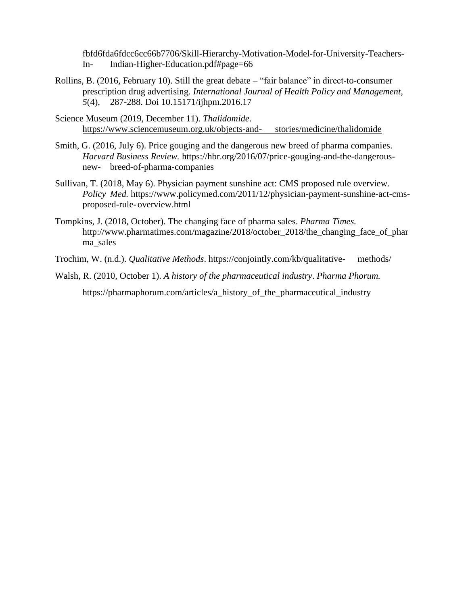fbfd6fda6fdcc6cc66b7706/Skill-Hierarchy-Motivation-Model-for-University-Teachers-In- Indian-Higher-Education.pdf#page=66

- Rollins, B. (2016, February 10). Still the great debate "fair balance" in direct-to-consumer prescription drug advertising. *International Journal of Health Policy and Management, 5*(4), 287-288. Doi 10.15171/ijhpm.2016.17
- Science Museum (2019, December 11). *Thalidomide*. [https://www.sciencemuseum.org.uk/objects-and-](https://www.sciencemuseum.org.uk/objects-and-%09stories/medicine/thalidomide) stories/medicine/thalidomide
- Smith, G. (2016, July 6). Price gouging and the dangerous new breed of pharma companies. *Harvard Business Review.* [https://hbr.org/2016/07/price-gouging-and-the-dangerous](about:blank)new- breed-of-pharma-companies
- Sullivan, T. (2018, May 6). Physician payment sunshine act: CMS proposed rule overview. *Policy Med.* [https://www.policymed.com/2011/12/physician-payment-sunshine-act-cms](https://www.policymed.com/2011/12/physician-payment-sunshine-act-cms-%09proposed-)[proposed-r](https://www.policymed.com/2011/12/physician-payment-sunshine-act-cms-%09proposed-)ule-overview.html
- Tompkins, J. (2018, October). The changing face of pharma sales. *Pharma Times.* http://www.pharmatimes.com/magazine/2018/october 2018/the changing face of phar ma\_sales
- Trochim, W. (n.d.). *Qualitative Methods*. [https://conjointly.com/kb/qualitative-](about:blank) methods/
- Walsh, R. (2010, October 1). *A history of the pharmaceutical industry*. *Pharma Phorum.* https://pharmaphorum.com/articles/a\_history\_of\_the\_pharmaceutical\_industry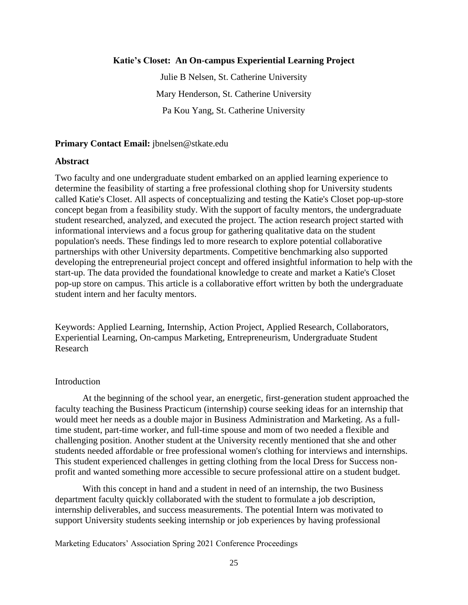#### **Katie's Closet: An On-campus Experiential Learning Project**

Julie B Nelsen, St. Catherine University Mary Henderson, St. Catherine University Pa Kou Yang, St. Catherine University

#### **Primary Contact Email:** jbnelsen@stkate.edu

#### **Abstract**

Two faculty and one undergraduate student embarked on an applied learning experience to determine the feasibility of starting a free professional clothing shop for University students called Katie's Closet. All aspects of conceptualizing and testing the Katie's Closet pop-up-store concept began from a feasibility study. With the support of faculty mentors, the undergraduate student researched, analyzed, and executed the project. The action research project started with informational interviews and a focus group for gathering qualitative data on the student population's needs. These findings led to more research to explore potential collaborative partnerships with other University departments. Competitive benchmarking also supported developing the entrepreneurial project concept and offered insightful information to help with the start-up. The data provided the foundational knowledge to create and market a Katie's Closet pop-up store on campus. This article is a collaborative effort written by both the undergraduate student intern and her faculty mentors.

Keywords: Applied Learning, Internship, Action Project, Applied Research, Collaborators, Experiential Learning, On-campus Marketing, Entrepreneurism, Undergraduate Student Research

#### **Introduction**

At the beginning of the school year, an energetic, first-generation student approached the faculty teaching the Business Practicum (internship) course seeking ideas for an internship that would meet her needs as a double major in Business Administration and Marketing. As a fulltime student, part-time worker, and full-time spouse and mom of two needed a flexible and challenging position. Another student at the University recently mentioned that she and other students needed affordable or free professional women's clothing for interviews and internships. This student experienced challenges in getting clothing from the local Dress for Success nonprofit and wanted something more accessible to secure professional attire on a student budget.

With this concept in hand and a student in need of an internship, the two Business department faculty quickly collaborated with the student to formulate a job description, internship deliverables, and success measurements. The potential Intern was motivated to support University students seeking internship or job experiences by having professional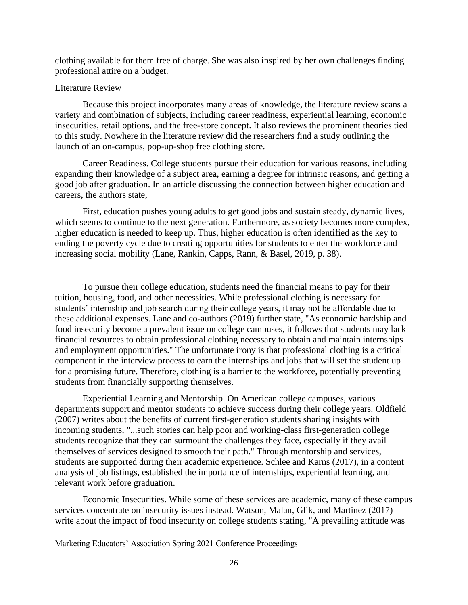clothing available for them free of charge. She was also inspired by her own challenges finding professional attire on a budget.

#### Literature Review

Because this project incorporates many areas of knowledge, the literature review scans a variety and combination of subjects, including career readiness, experiential learning, economic insecurities, retail options, and the free-store concept. It also reviews the prominent theories tied to this study. Nowhere in the literature review did the researchers find a study outlining the launch of an on-campus, pop-up-shop free clothing store.

Career Readiness. College students pursue their education for various reasons, including expanding their knowledge of a subject area, earning a degree for intrinsic reasons, and getting a good job after graduation. In an article discussing the connection between higher education and careers, the authors state,

First, education pushes young adults to get good jobs and sustain steady, dynamic lives, which seems to continue to the next generation. Furthermore, as society becomes more complex, higher education is needed to keep up. Thus, higher education is often identified as the key to ending the poverty cycle due to creating opportunities for students to enter the workforce and increasing social mobility (Lane, Rankin, Capps, Rann, & Basel, 2019, p. 38).

To pursue their college education, students need the financial means to pay for their tuition, housing, food, and other necessities. While professional clothing is necessary for students' internship and job search during their college years, it may not be affordable due to these additional expenses. Lane and co-authors (2019) further state, "As economic hardship and food insecurity become a prevalent issue on college campuses, it follows that students may lack financial resources to obtain professional clothing necessary to obtain and maintain internships and employment opportunities." The unfortunate irony is that professional clothing is a critical component in the interview process to earn the internships and jobs that will set the student up for a promising future. Therefore, clothing is a barrier to the workforce, potentially preventing students from financially supporting themselves.

Experiential Learning and Mentorship. On American college campuses, various departments support and mentor students to achieve success during their college years. Oldfield (2007) writes about the benefits of current first-generation students sharing insights with incoming students, "...such stories can help poor and working-class first-generation college students recognize that they can surmount the challenges they face, especially if they avail themselves of services designed to smooth their path." Through mentorship and services, students are supported during their academic experience. Schlee and Karns (2017), in a content analysis of job listings, established the importance of internships, experiential learning, and relevant work before graduation.

Economic Insecurities. While some of these services are academic, many of these campus services concentrate on insecurity issues instead. Watson, Malan, Glik, and Martinez (2017) write about the impact of food insecurity on college students stating, "A prevailing attitude was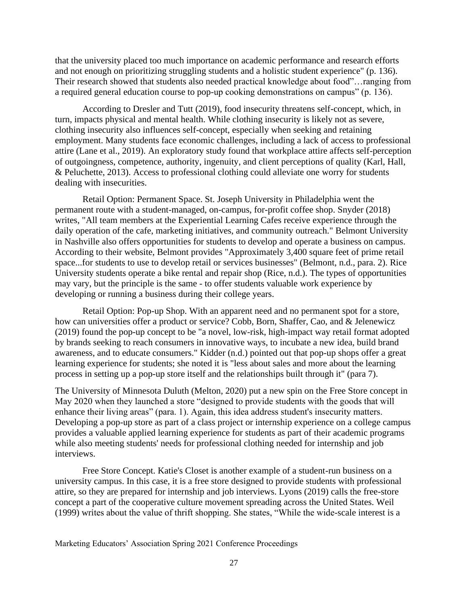that the university placed too much importance on academic performance and research efforts and not enough on prioritizing struggling students and a holistic student experience" (p. 136). Their research showed that students also needed practical knowledge about food"…ranging from a required general education course to pop-up cooking demonstrations on campus" (p. 136).

According to Dresler and Tutt (2019), food insecurity threatens self-concept, which, in turn, impacts physical and mental health. While clothing insecurity is likely not as severe, clothing insecurity also influences self-concept, especially when seeking and retaining employment. Many students face economic challenges, including a lack of access to professional attire (Lane et al., 2019). An exploratory study found that workplace attire affects self-perception of outgoingness, competence, authority, ingenuity, and client perceptions of quality (Karl, Hall, & Peluchette, 2013). Access to professional clothing could alleviate one worry for students dealing with insecurities.

Retail Option: Permanent Space. St. Joseph University in Philadelphia went the permanent route with a student-managed, on-campus, for-profit coffee shop. Snyder (2018) writes, "All team members at the Experiential Learning Cafes receive experience through the daily operation of the cafe, marketing initiatives, and community outreach." Belmont University in Nashville also offers opportunities for students to develop and operate a business on campus. According to their website, Belmont provides "Approximately 3,400 square feet of prime retail space...for students to use to develop retail or services businesses" (Belmont, n.d., para. 2). Rice University students operate a bike rental and repair shop (Rice, n.d.). The types of opportunities may vary, but the principle is the same - to offer students valuable work experience by developing or running a business during their college years.

Retail Option: Pop-up Shop. With an apparent need and no permanent spot for a store, how can universities offer a product or service? Cobb, Born, Shaffer, Cao, and & Jelenewicz (2019) found the pop-up concept to be "a novel, low-risk, high-impact way retail format adopted by brands seeking to reach consumers in innovative ways, to incubate a new idea, build brand awareness, and to educate consumers." Kidder (n.d.) pointed out that pop-up shops offer a great learning experience for students; she noted it is "less about sales and more about the learning process in setting up a pop-up store itself and the relationships built through it" (para 7).

The University of Minnesota Duluth (Melton, 2020) put a new spin on the Free Store concept in May 2020 when they launched a store "designed to provide students with the goods that will enhance their living areas" (para. 1). Again, this idea address student's insecurity matters. Developing a pop-up store as part of a class project or internship experience on a college campus provides a valuable applied learning experience for students as part of their academic programs while also meeting students' needs for professional clothing needed for internship and job interviews.

Free Store Concept. Katie's Closet is another example of a student-run business on a university campus. In this case, it is a free store designed to provide students with professional attire, so they are prepared for internship and job interviews. Lyons (2019) calls the free-store concept a part of the cooperative culture movement spreading across the United States. Weil (1999) writes about the value of thrift shopping. She states, "While the wide-scale interest is a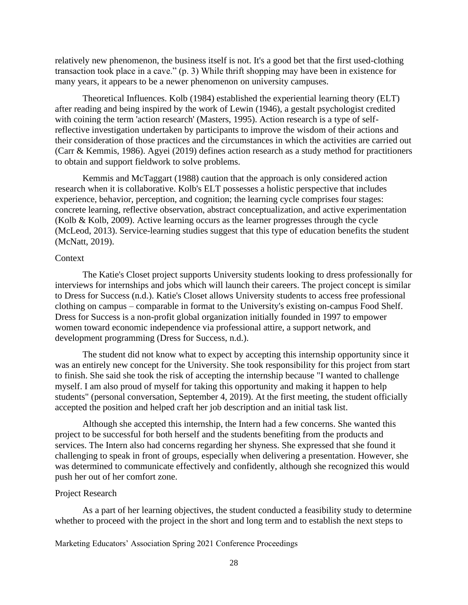relatively new phenomenon, the business itself is not. It's a good bet that the first used-clothing transaction took place in a cave." (p. 3) While thrift shopping may have been in existence for many years, it appears to be a newer phenomenon on university campuses.

Theoretical Influences. Kolb (1984) established the experiential learning theory (ELT) after reading and being inspired by the work of Lewin (1946), a gestalt psychologist credited with coining the term 'action research' (Masters, 1995). Action research is a type of selfreflective investigation undertaken by participants to improve the wisdom of their actions and their consideration of those practices and the circumstances in which the activities are carried out (Carr & Kemmis, 1986). Agyei (2019) defines action research as a study method for practitioners to obtain and support fieldwork to solve problems.

Kemmis and McTaggart (1988) caution that the approach is only considered action research when it is collaborative. Kolb's ELT possesses a holistic perspective that includes experience, behavior, perception, and cognition; the learning cycle comprises four stages: concrete learning, reflective observation, abstract conceptualization, and active experimentation (Kolb & Kolb, 2009). Active learning occurs as the learner progresses through the cycle (McLeod, 2013). Service-learning studies suggest that this type of education benefits the student (McNatt, 2019).

#### Context

The Katie's Closet project supports University students looking to dress professionally for interviews for internships and jobs which will launch their careers. The project concept is similar to Dress for Success (n.d.). Katie's Closet allows University students to access free professional clothing on campus – comparable in format to the University's existing on-campus Food Shelf. Dress for Success is a non-profit global organization initially founded in 1997 to empower women toward economic independence via professional attire, a support network, and development programming (Dress for Success, n.d.).

The student did not know what to expect by accepting this internship opportunity since it was an entirely new concept for the University. She took responsibility for this project from start to finish. She said she took the risk of accepting the internship because "I wanted to challenge myself. I am also proud of myself for taking this opportunity and making it happen to help students" (personal conversation, September 4, 2019). At the first meeting, the student officially accepted the position and helped craft her job description and an initial task list.

Although she accepted this internship, the Intern had a few concerns. She wanted this project to be successful for both herself and the students benefiting from the products and services. The Intern also had concerns regarding her shyness. She expressed that she found it challenging to speak in front of groups, especially when delivering a presentation. However, she was determined to communicate effectively and confidently, although she recognized this would push her out of her comfort zone.

#### Project Research

As a part of her learning objectives, the student conducted a feasibility study to determine whether to proceed with the project in the short and long term and to establish the next steps to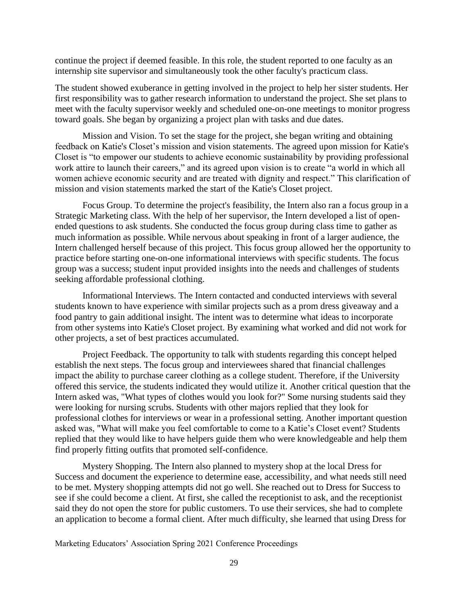continue the project if deemed feasible. In this role, the student reported to one faculty as an internship site supervisor and simultaneously took the other faculty's practicum class.

The student showed exuberance in getting involved in the project to help her sister students. Her first responsibility was to gather research information to understand the project. She set plans to meet with the faculty supervisor weekly and scheduled one-on-one meetings to monitor progress toward goals. She began by organizing a project plan with tasks and due dates.

Mission and Vision. To set the stage for the project, she began writing and obtaining feedback on Katie's Closet's mission and vision statements. The agreed upon mission for Katie's Closet is "to empower our students to achieve economic sustainability by providing professional work attire to launch their careers," and its agreed upon vision is to create "a world in which all women achieve economic security and are treated with dignity and respect." This clarification of mission and vision statements marked the start of the Katie's Closet project.

Focus Group. To determine the project's feasibility, the Intern also ran a focus group in a Strategic Marketing class. With the help of her supervisor, the Intern developed a list of openended questions to ask students. She conducted the focus group during class time to gather as much information as possible. While nervous about speaking in front of a larger audience, the Intern challenged herself because of this project. This focus group allowed her the opportunity to practice before starting one-on-one informational interviews with specific students. The focus group was a success; student input provided insights into the needs and challenges of students seeking affordable professional clothing.

Informational Interviews. The Intern contacted and conducted interviews with several students known to have experience with similar projects such as a prom dress giveaway and a food pantry to gain additional insight. The intent was to determine what ideas to incorporate from other systems into Katie's Closet project. By examining what worked and did not work for other projects, a set of best practices accumulated.

Project Feedback. The opportunity to talk with students regarding this concept helped establish the next steps. The focus group and interviewees shared that financial challenges impact the ability to purchase career clothing as a college student. Therefore, if the University offered this service, the students indicated they would utilize it. Another critical question that the Intern asked was, "What types of clothes would you look for?" Some nursing students said they were looking for nursing scrubs. Students with other majors replied that they look for professional clothes for interviews or wear in a professional setting. Another important question asked was, "What will make you feel comfortable to come to a Katie's Closet event? Students replied that they would like to have helpers guide them who were knowledgeable and help them find properly fitting outfits that promoted self-confidence.

Mystery Shopping. The Intern also planned to mystery shop at the local Dress for Success and document the experience to determine ease, accessibility, and what needs still need to be met. Mystery shopping attempts did not go well. She reached out to Dress for Success to see if she could become a client. At first, she called the receptionist to ask, and the receptionist said they do not open the store for public customers. To use their services, she had to complete an application to become a formal client. After much difficulty, she learned that using Dress for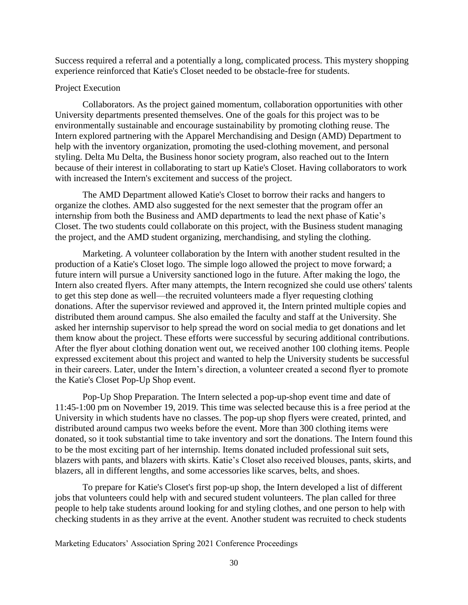Success required a referral and a potentially a long, complicated process. This mystery shopping experience reinforced that Katie's Closet needed to be obstacle-free for students.

#### Project Execution

Collaborators. As the project gained momentum, collaboration opportunities with other University departments presented themselves. One of the goals for this project was to be environmentally sustainable and encourage sustainability by promoting clothing reuse. The Intern explored partnering with the Apparel Merchandising and Design (AMD) Department to help with the inventory organization, promoting the used-clothing movement, and personal styling. Delta Mu Delta, the Business honor society program, also reached out to the Intern because of their interest in collaborating to start up Katie's Closet. Having collaborators to work with increased the Intern's excitement and success of the project.

The AMD Department allowed Katie's Closet to borrow their racks and hangers to organize the clothes. AMD also suggested for the next semester that the program offer an internship from both the Business and AMD departments to lead the next phase of Katie's Closet. The two students could collaborate on this project, with the Business student managing the project, and the AMD student organizing, merchandising, and styling the clothing.

Marketing. A volunteer collaboration by the Intern with another student resulted in the production of a Katie's Closet logo. The simple logo allowed the project to move forward; a future intern will pursue a University sanctioned logo in the future. After making the logo, the Intern also created flyers. After many attempts, the Intern recognized she could use others' talents to get this step done as well—the recruited volunteers made a flyer requesting clothing donations. After the supervisor reviewed and approved it, the Intern printed multiple copies and distributed them around campus. She also emailed the faculty and staff at the University. She asked her internship supervisor to help spread the word on social media to get donations and let them know about the project. These efforts were successful by securing additional contributions. After the flyer about clothing donation went out, we received another 100 clothing items. People expressed excitement about this project and wanted to help the University students be successful in their careers. Later, under the Intern's direction, a volunteer created a second flyer to promote the Katie's Closet Pop-Up Shop event.

Pop-Up Shop Preparation. The Intern selected a pop-up-shop event time and date of 11:45-1:00 pm on November 19, 2019. This time was selected because this is a free period at the University in which students have no classes. The pop-up shop flyers were created, printed, and distributed around campus two weeks before the event. More than 300 clothing items were donated, so it took substantial time to take inventory and sort the donations. The Intern found this to be the most exciting part of her internship. Items donated included professional suit sets, blazers with pants, and blazers with skirts. Katie's Closet also received blouses, pants, skirts, and blazers, all in different lengths, and some accessories like scarves, belts, and shoes.

To prepare for Katie's Closet's first pop-up shop, the Intern developed a list of different jobs that volunteers could help with and secured student volunteers. The plan called for three people to help take students around looking for and styling clothes, and one person to help with checking students in as they arrive at the event. Another student was recruited to check students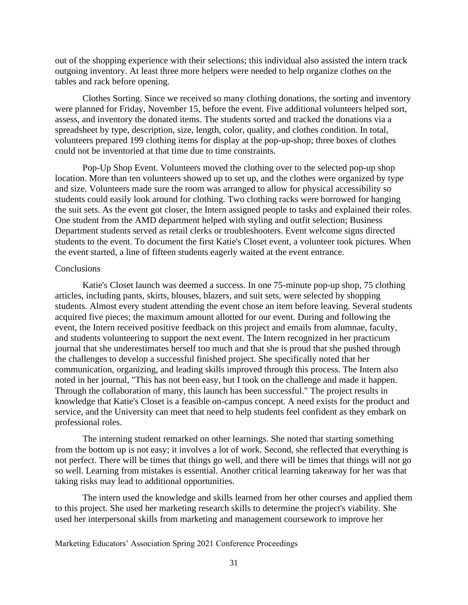out of the shopping experience with their selections; this individual also assisted the intern track outgoing inventory. At least three more helpers were needed to help organize clothes on the tables and rack before opening.

Clothes Sorting. Since we received so many clothing donations, the sorting and inventory were planned for Friday, November 15, before the event. Five additional volunteers helped sort, assess, and inventory the donated items. The students sorted and tracked the donations via a spreadsheet by type, description, size, length, color, quality, and clothes condition. In total, volunteers prepared 199 clothing items for display at the pop-up-shop; three boxes of clothes could not be inventoried at that time due to time constraints.

Pop-Up Shop Event. Volunteers moved the clothing over to the selected pop-up shop location. More than ten volunteers showed up to set up, and the clothes were organized by type and size. Volunteers made sure the room was arranged to allow for physical accessibility so students could easily look around for clothing. Two clothing racks were borrowed for hanging the suit sets. As the event got closer, the Intern assigned people to tasks and explained their roles. One student from the AMD department helped with styling and outfit selection; Business Department students served as retail clerks or troubleshooters. Event welcome signs directed students to the event. To document the first Katie's Closet event, a volunteer took pictures. When the event started, a line of fifteen students eagerly waited at the event entrance.

#### **Conclusions**

Katie's Closet launch was deemed a success. In one 75-minute pop-up shop, 75 clothing articles, including pants, skirts, blouses, blazers, and suit sets, were selected by shopping students. Almost every student attending the event chose an item before leaving. Several students acquired five pieces; the maximum amount allotted for our event. During and following the event, the Intern received positive feedback on this project and emails from alumnae, faculty, and students volunteering to support the next event. The Intern recognized in her practicum journal that she underestimates herself too much and that she is proud that she pushed through the challenges to develop a successful finished project. She specifically noted that her communication, organizing, and leading skills improved through this process. The Intern also noted in her journal, "This has not been easy, but I took on the challenge and made it happen. Through the collaboration of many, this launch has been successful." The project results in knowledge that Katie's Closet is a feasible on-campus concept. A need exists for the product and service, and the University can meet that need to help students feel confident as they embark on professional roles.

The interning student remarked on other learnings. She noted that starting something from the bottom up is not easy; it involves a lot of work. Second, she reflected that everything is not perfect. There will be times that things go well, and there will be times that things will not go so well. Learning from mistakes is essential. Another critical learning takeaway for her was that taking risks may lead to additional opportunities.

The intern used the knowledge and skills learned from her other courses and applied them to this project. She used her marketing research skills to determine the project's viability. She used her interpersonal skills from marketing and management coursework to improve her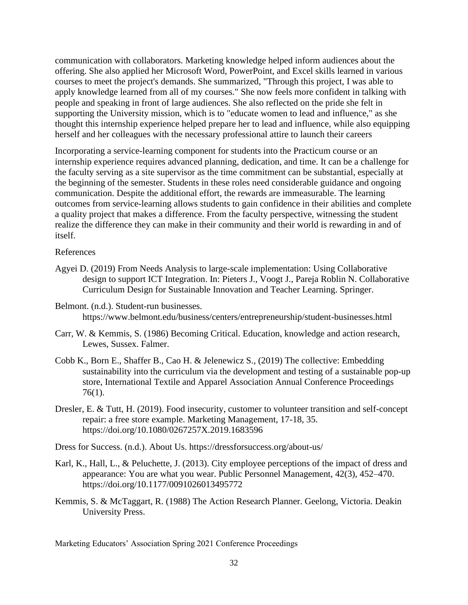communication with collaborators. Marketing knowledge helped inform audiences about the offering. She also applied her Microsoft Word, PowerPoint, and Excel skills learned in various courses to meet the project's demands. She summarized, "Through this project, I was able to apply knowledge learned from all of my courses." She now feels more confident in talking with people and speaking in front of large audiences. She also reflected on the pride she felt in supporting the University mission, which is to "educate women to lead and influence," as she thought this internship experience helped prepare her to lead and influence, while also equipping herself and her colleagues with the necessary professional attire to launch their careers

Incorporating a service-learning component for students into the Practicum course or an internship experience requires advanced planning, dedication, and time. It can be a challenge for the faculty serving as a site supervisor as the time commitment can be substantial, especially at the beginning of the semester. Students in these roles need considerable guidance and ongoing communication. Despite the additional effort, the rewards are immeasurable. The learning outcomes from service-learning allows students to gain confidence in their abilities and complete a quality project that makes a difference. From the faculty perspective, witnessing the student realize the difference they can make in their community and their world is rewarding in and of itself.

#### References

- Agyei D. (2019) From Needs Analysis to large-scale implementation: Using Collaborative design to support ICT Integration. In: Pieters J., Voogt J., Pareja Roblin N. Collaborative Curriculum Design for Sustainable Innovation and Teacher Learning. Springer.
- Belmont. (n.d.). Student-run businesses. https://www.belmont.edu/business/centers/entrepreneurship/student-businesses.html
- Carr, W. & Kemmis, S. (1986) Becoming Critical. Education, knowledge and action research, Lewes, Sussex. Falmer.
- Cobb K., Born E., Shaffer B., Cao H. & Jelenewicz S., (2019) The collective: Embedding sustainability into the curriculum via the development and testing of a sustainable pop-up store, International Textile and Apparel Association Annual Conference Proceedings 76(1).
- Dresler, E. & Tutt, H. (2019). Food insecurity, customer to volunteer transition and self-concept repair: a free store example. Marketing Management, 17-18, 35. <https://doi.org/10.1080/0267257X.2019.1683596>

Dress for Success. (n.d.). About Us. https://dressforsuccess.org/about-us/

- Karl, K., Hall, L., & Peluchette, J. (2013). City employee perceptions of the impact of dress and appearance: You are what you wear. Public Personnel Management, 42(3), 452–470. https://doi.org/10.1177/0091026013495772
- Kemmis, S. & McTaggart, R. (1988) The Action Research Planner. Geelong, Victoria. Deakin University Press.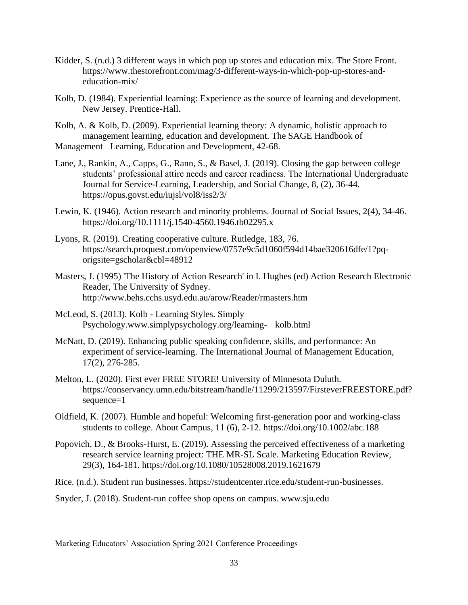- Kidder, S. (n.d.) 3 different ways in which pop up stores and education mix. The Store Front. https://www.thestorefront.com/mag/3-different-ways-in-which-pop-up-stores-andeducation-mix/
- Kolb, D. (1984). Experiential learning: Experience as the source of learning and development. New Jersey. Prentice-Hall.
- Kolb, A. & Kolb, D. (2009). Experiential learning theory: A dynamic, holistic approach to management learning, education and development. The SAGE Handbook of Management Learning, Education and Development, 42-68.
- Lane, J., Rankin, A., Capps, G., Rann, S., & Basel, J. (2019). Closing the gap between college students' professional attire needs and career readiness. The International Undergraduate Journal for Service-Learning, Leadership, and Social Change, 8, (2), 36-44. https://opus.govst.edu/iujsl/vol8/iss2/3/
- Lewin, K. (1946). Action research and minority problems. Journal of Social Issues, 2(4), 34-46. https://doi.org/10.1111/j.1540-4560.1946.tb02295.x
- Lyons, R. (2019). Creating cooperative culture. Rutledge, 183, 76. https://search.proquest.com/openview/0757e9c5d1060f594d14bae320616dfe/1?pqorigsite=gscholar&cbl=48912
- Masters, J. (1995) 'The History of Action Research' in I. Hughes (ed) Action Research Electronic Reader, The University of Sydney. http://www.behs.cchs.usyd.edu.au/arow/Reader/rmasters.htm
- McLeod, S. (2013). Kolb Learning Styles. Simply Psychology.www.simplypsychology.org/learning- kolb.html
- McNatt, D. (2019). Enhancing public speaking confidence, skills, and performance: An experiment of service-learning. The International Journal of Management Education, 17(2), 276-285.
- Melton, L. (2020). First ever FREE STORE! University of Minnesota Duluth. https://conservancy.umn.edu/bitstream/handle/11299/213597/FirsteverFREESTORE.pdf? sequence=1
- Oldfield, K. (2007). Humble and hopeful: Welcoming first-generation poor and working-class students to college. About Campus, 11 (6), 2-12. https://doi.org/10.1002/abc.188
- Popovich, D., & Brooks-Hurst, E. (2019). Assessing the perceived effectiveness of a marketing research service learning project: THE MR-SL Scale. Marketing Education Review, 29(3), 164-181. https://doi.org/10.1080/10528008.2019.1621679
- Rice. (n.d.). Student run businesses. https://studentcenter.rice.edu/student-run-businesses.

Snyder, J. (2018). Student-run coffee shop opens on campus. www.sju.edu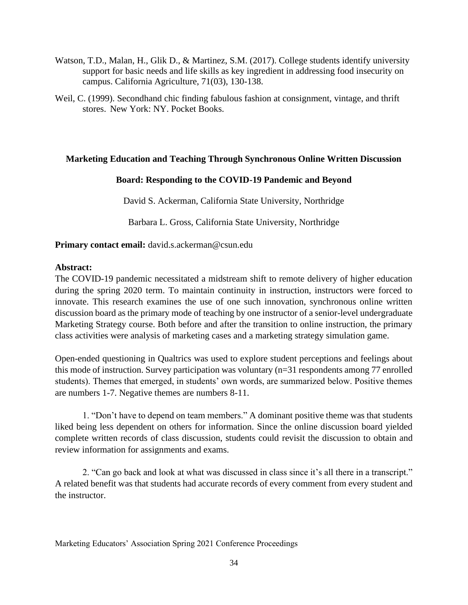- Watson, T.D., Malan, H., Glik D., & Martinez, S.M. (2017). College students identify university support for basic needs and life skills as key ingredient in addressing food insecurity on campus. California Agriculture, 71(03), 130-138.
- Weil, C. (1999). Secondhand chic finding fabulous fashion at consignment, vintage, and thrift stores. New York: NY. Pocket Books.

## **Marketing Education and Teaching Through Synchronous Online Written Discussion**

## **Board: Responding to the COVID-19 Pandemic and Beyond**

David S. Ackerman, California State University, Northridge

Barbara L. Gross, California State University, Northridge

## **Primary contact email:** david.s.ackerman@csun.edu

#### **Abstract:**

The COVID-19 pandemic necessitated a midstream shift to remote delivery of higher education during the spring 2020 term. To maintain continuity in instruction, instructors were forced to innovate. This research examines the use of one such innovation, synchronous online written discussion board as the primary mode of teaching by one instructor of a senior-level undergraduate Marketing Strategy course. Both before and after the transition to online instruction, the primary class activities were analysis of marketing cases and a marketing strategy simulation game.

Open-ended questioning in Qualtrics was used to explore student perceptions and feelings about this mode of instruction. Survey participation was voluntary (n=31 respondents among 77 enrolled students). Themes that emerged, in students' own words, are summarized below. Positive themes are numbers 1-7. Negative themes are numbers 8-11.

 1. "Don't have to depend on team members." A dominant positive theme was that students liked being less dependent on others for information. Since the online discussion board yielded complete written records of class discussion, students could revisit the discussion to obtain and review information for assignments and exams.

2. "Can go back and look at what was discussed in class since it's all there in a transcript." A related benefit was that students had accurate records of every comment from every student and the instructor.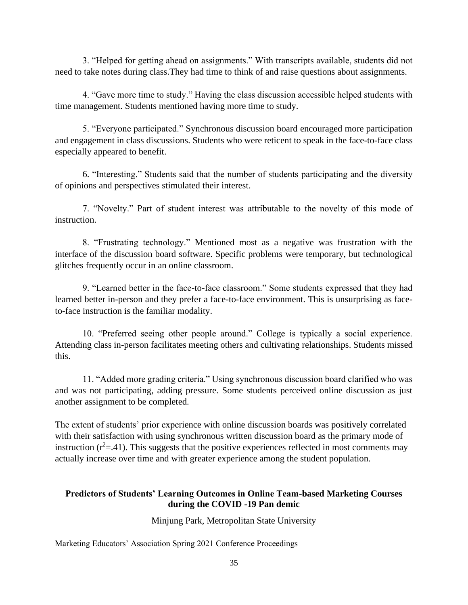3. "Helped for getting ahead on assignments." With transcripts available, students did not need to take notes during class.They had time to think of and raise questions about assignments.

4. "Gave more time to study." Having the class discussion accessible helped students with time management. Students mentioned having more time to study.

5. "Everyone participated." Synchronous discussion board encouraged more participation and engagement in class discussions. Students who were reticent to speak in the face-to-face class especially appeared to benefit.

6. "Interesting." Students said that the number of students participating and the diversity of opinions and perspectives stimulated their interest.

7. "Novelty." Part of student interest was attributable to the novelty of this mode of instruction.

8. "Frustrating technology." Mentioned most as a negative was frustration with the interface of the discussion board software. Specific problems were temporary, but technological glitches frequently occur in an online classroom.

9. "Learned better in the face-to-face classroom." Some students expressed that they had learned better in-person and they prefer a face-to-face environment. This is unsurprising as faceto-face instruction is the familiar modality.

10. "Preferred seeing other people around." College is typically a social experience. Attending class in-person facilitates meeting others and cultivating relationships. Students missed this.

11. "Added more grading criteria." Using synchronous discussion board clarified who was and was not participating, adding pressure. Some students perceived online discussion as just another assignment to be completed.

The extent of students' prior experience with online discussion boards was positively correlated with their satisfaction with using synchronous written discussion board as the primary mode of instruction  $(r^2 = .41)$ . This suggests that the positive experiences reflected in most comments may actually increase over time and with greater experience among the student population.

## **Predictors of Students' Learning Outcomes in Online Team-based Marketing Courses during the COVID -19 Pan demic**

Minjung Park, Metropolitan State University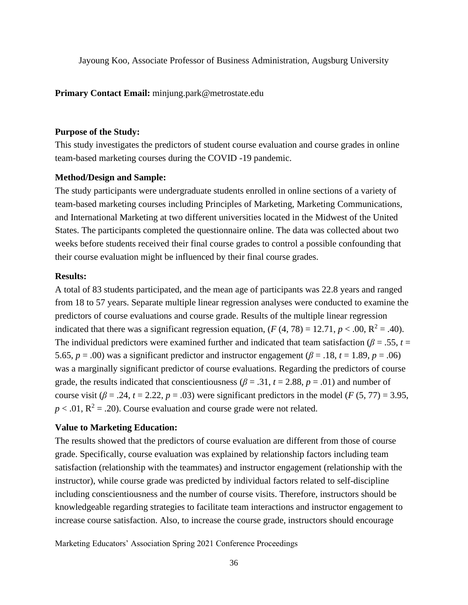Jayoung Koo, Associate Professor of Business Administration, Augsburg University

**Primary Contact Email:** minjung.park@metrostate.edu

#### **Purpose of the Study:**

This study investigates the predictors of student course evaluation and course grades in online team-based marketing courses during the COVID -19 pandemic.

#### **Method/Design and Sample:**

The study participants were undergraduate students enrolled in online sections of a variety of team-based marketing courses including Principles of Marketing, Marketing Communications, and International Marketing at two different universities located in the Midwest of the United States. The participants completed the questionnaire online. The data was collected about two weeks before students received their final course grades to control a possible confounding that their course evaluation might be influenced by their final course grades.

#### **Results:**

A total of 83 students participated, and the mean age of participants was 22.8 years and ranged from 18 to 57 years. Separate multiple linear regression analyses were conducted to examine the predictors of course evaluations and course grade. Results of the multiple linear regression indicated that there was a significant regression equation,  $(F(4, 78) = 12.71, p < .00, R^2 = .40)$ . The individual predictors were examined further and indicated that team satisfaction ( $\beta$  = .55, *t* = 5.65,  $p = .00$ ) was a significant predictor and instructor engagement ( $\beta = .18$ ,  $t = 1.89$ ,  $p = .06$ ) was a marginally significant predictor of course evaluations. Regarding the predictors of course grade, the results indicated that conscientiousness ( $\beta$  = .31,  $t$  = 2.88,  $p$  = .01) and number of course visit  $(\beta = .24, t = 2.22, p = .03)$  were significant predictors in the model  $(F(5, 77) = 3.95,$  $p < .01$ ,  $R^2 = .20$ ). Course evaluation and course grade were not related.

#### **Value to Marketing Education:**

The results showed that the predictors of course evaluation are different from those of course grade. Specifically, course evaluation was explained by relationship factors including team satisfaction (relationship with the teammates) and instructor engagement (relationship with the instructor), while course grade was predicted by individual factors related to self-discipline including conscientiousness and the number of course visits. Therefore, instructors should be knowledgeable regarding strategies to facilitate team interactions and instructor engagement to increase course satisfaction. Also, to increase the course grade, instructors should encourage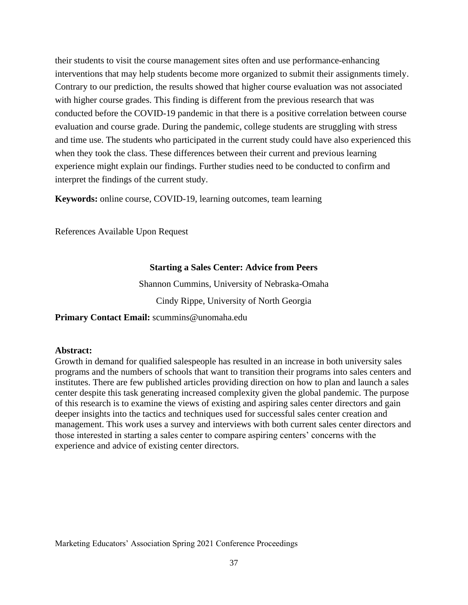their students to visit the course management sites often and use performance-enhancing interventions that may help students become more organized to submit their assignments timely. Contrary to our prediction, the results showed that higher course evaluation was not associated with higher course grades. This finding is different from the previous research that was conducted before the COVID-19 pandemic in that there is a positive correlation between course evaluation and course grade. During the pandemic, college students are struggling with stress and time use. The students who participated in the current study could have also experienced this when they took the class. These differences between their current and previous learning experience might explain our findings. Further studies need to be conducted to confirm and interpret the findings of the current study.

**Keywords:** online course, COVID-19, learning outcomes, team learning

References Available Upon Request

## **Starting a Sales Center: Advice from Peers**

Shannon Cummins, University of Nebraska-Omaha

Cindy Rippe, University of North Georgia

**Primary Contact Email:** scummins@unomaha.edu

## **Abstract:**

Growth in demand for qualified salespeople has resulted in an increase in both university sales programs and the numbers of schools that want to transition their programs into sales centers and institutes. There are few published articles providing direction on how to plan and launch a sales center despite this task generating increased complexity given the global pandemic. The purpose of this research is to examine the views of existing and aspiring sales center directors and gain deeper insights into the tactics and techniques used for successful sales center creation and management. This work uses a survey and interviews with both current sales center directors and those interested in starting a sales center to compare aspiring centers' concerns with the experience and advice of existing center directors.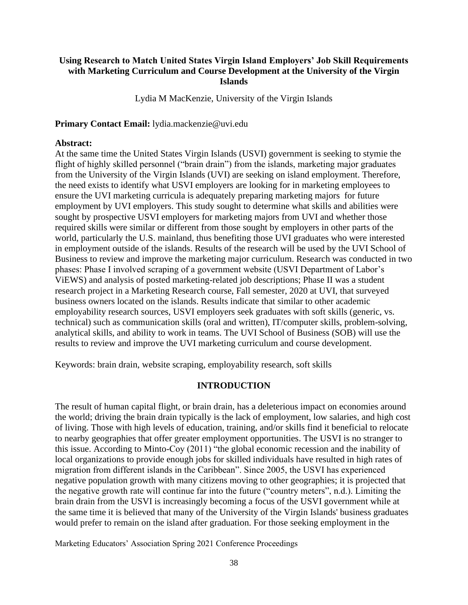## **Using Research to Match United States Virgin Island Employers' Job Skill Requirements with Marketing Curriculum and Course Development at the University of the Virgin Islands**

Lydia M MacKenzie, University of the Virgin Islands

**Primary Contact Email:** lydia.mackenzie@uvi.edu

#### **Abstract:**

At the same time the United States Virgin Islands (USVI) government is seeking to stymie the flight of highly skilled personnel ("brain drain") from the islands, marketing major graduates from the University of the Virgin Islands (UVI) are seeking on island employment. Therefore, the need exists to identify what USVI employers are looking for in marketing employees to ensure the UVI marketing curricula is adequately preparing marketing majors for future employment by UVI employers. This study sought to determine what skills and abilities were sought by prospective USVI employers for marketing majors from UVI and whether those required skills were similar or different from those sought by employers in other parts of the world, particularly the U.S. mainland, thus benefiting those UVI graduates who were interested in employment outside of the islands. Results of the research will be used by the UVI School of Business to review and improve the marketing major curriculum. Research was conducted in two phases: Phase I involved scraping of a government website (USVI Department of Labor's ViEWS) and analysis of posted marketing-related job descriptions; Phase II was a student research project in a Marketing Research course, Fall semester, 2020 at UVI, that surveyed business owners located on the islands. Results indicate that similar to other academic employability research sources, USVI employers seek graduates with soft skills (generic, vs. technical) such as communication skills (oral and written), IT/computer skills, problem-solving, analytical skills, and ability to work in teams. The UVI School of Business (SOB) will use the results to review and improve the UVI marketing curriculum and course development.

Keywords: brain drain, website scraping, employability research, soft skills

## **INTRODUCTION**

The result of human capital flight, or brain drain, has a deleterious impact on economies around the world; driving the brain drain typically is the lack of employment, low salaries, and high cost of living. Those with high levels of education, training, and/or skills find it beneficial to relocate to nearby geographies that offer greater employment opportunities. The USVI is no stranger to this issue. According to Minto-Coy (2011) "the global economic recession and the inability of local organizations to provide enough jobs for skilled individuals have resulted in high rates of migration from different islands in the Caribbean". Since 2005, the USVI has experienced negative population growth with many citizens moving to other geographies; it is projected that the negative growth rate will continue far into the future ("country meters", n.d.). Limiting the brain drain from the USVI is increasingly becoming a focus of the USVI government while at the same time it is believed that many of the University of the Virgin Islands' business graduates would prefer to remain on the island after graduation. For those seeking employment in the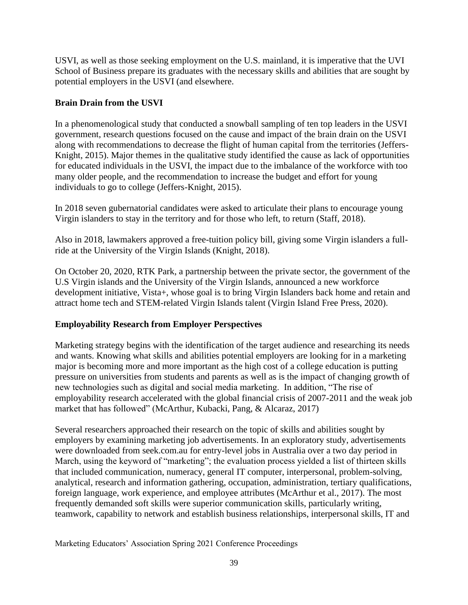USVI, as well as those seeking employment on the U.S. mainland, it is imperative that the UVI School of Business prepare its graduates with the necessary skills and abilities that are sought by potential employers in the USVI (and elsewhere.

## **Brain Drain from the USVI**

In a phenomenological study that conducted a snowball sampling of ten top leaders in the USVI government, research questions focused on the cause and impact of the brain drain on the USVI along with recommendations to decrease the flight of human capital from the territories (Jeffers-Knight, 2015). Major themes in the qualitative study identified the cause as lack of opportunities for educated individuals in the USVI, the impact due to the imbalance of the workforce with too many older people, and the recommendation to increase the budget and effort for young individuals to go to college (Jeffers-Knight, 2015).

In 2018 seven gubernatorial candidates were asked to articulate their plans to encourage young Virgin islanders to stay in the territory and for those who left, to return (Staff, 2018).

Also in 2018, lawmakers approved a free-tuition policy bill, giving some Virgin islanders a fullride at the University of the Virgin Islands (Knight, 2018).

On October 20, 2020, RTK Park, a partnership between the private sector, the government of the U.S Virgin islands and the University of the Virgin Islands, announced a new workforce development initiative, Vista+, whose goal is to bring Virgin Islanders back home and retain and attract home tech and STEM-related Virgin Islands talent (Virgin Island Free Press, 2020).

## **Employability Research from Employer Perspectives**

Marketing strategy begins with the identification of the target audience and researching its needs and wants. Knowing what skills and abilities potential employers are looking for in a marketing major is becoming more and more important as the high cost of a college education is putting pressure on universities from students and parents as well as is the impact of changing growth of new technologies such as digital and social media marketing. In addition, "The rise of employability research accelerated with the global financial crisis of 2007-2011 and the weak job market that has followed" (McArthur, Kubacki, Pang, & Alcaraz, 2017)

Several researchers approached their research on the topic of skills and abilities sought by employers by examining marketing job advertisements. In an exploratory study, advertisements were downloaded from seek.com.au for entry-level jobs in Australia over a two day period in March, using the keyword of "marketing"; the evaluation process yielded a list of thirteen skills that included communication, numeracy, general IT computer, interpersonal, problem-solving, analytical, research and information gathering, occupation, administration, tertiary qualifications, foreign language, work experience, and employee attributes (McArthur et al., 2017). The most frequently demanded soft skills were superior communication skills, particularly writing, teamwork, capability to network and establish business relationships, interpersonal skills, IT and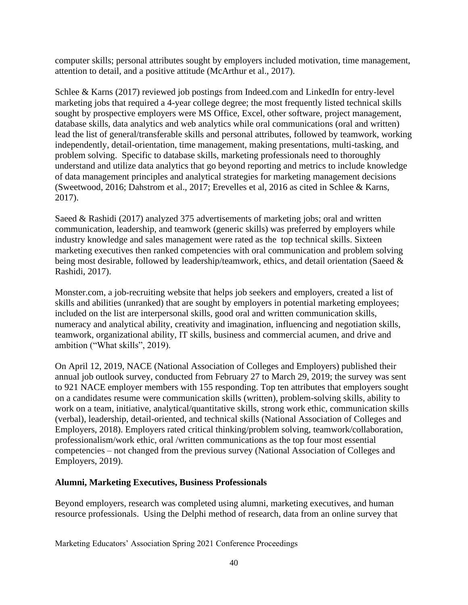computer skills; personal attributes sought by employers included motivation, time management, attention to detail, and a positive attitude (McArthur et al., 2017).

Schlee & Karns (2017) reviewed job postings from Indeed.com and LinkedIn for entry-level marketing jobs that required a 4-year college degree; the most frequently listed technical skills sought by prospective employers were MS Office, Excel, other software, project management, database skills, data analytics and web analytics while oral communications (oral and written) lead the list of general/transferable skills and personal attributes, followed by teamwork, working independently, detail-orientation, time management, making presentations, multi-tasking, and problem solving. Specific to database skills, marketing professionals need to thoroughly understand and utilize data analytics that go beyond reporting and metrics to include knowledge of data management principles and analytical strategies for marketing management decisions (Sweetwood, 2016; Dahstrom et al., 2017; Erevelles et al, 2016 as cited in Schlee & Karns, 2017).

Saeed & Rashidi (2017) analyzed 375 advertisements of marketing jobs; oral and written communication, leadership, and teamwork (generic skills) was preferred by employers while industry knowledge and sales management were rated as the top technical skills. Sixteen marketing executives then ranked competencies with oral communication and problem solving being most desirable, followed by leadership/teamwork, ethics, and detail orientation (Saeed & Rashidi, 2017).

Monster.com, a job-recruiting website that helps job seekers and employers, created a list of skills and abilities (unranked) that are sought by employers in potential marketing employees; included on the list are interpersonal skills, good oral and written communication skills, numeracy and analytical ability, creativity and imagination, influencing and negotiation skills, teamwork, organizational ability, IT skills, business and commercial acumen, and drive and ambition ("What skills", 2019).

On April 12, 2019, NACE (National Association of Colleges and Employers) published their annual job outlook survey, conducted from February 27 to March 29, 2019; the survey was sent to 921 NACE employer members with 155 responding. Top ten attributes that employers sought on a candidates resume were communication skills (written), problem-solving skills, ability to work on a team, initiative, analytical/quantitative skills, strong work ethic, communication skills (verbal), leadership, detail-oriented, and technical skills (National Association of Colleges and Employers, 2018). Employers rated critical thinking/problem solving, teamwork/collaboration, professionalism/work ethic, oral /written communications as the top four most essential competencies – not changed from the previous survey (National Association of Colleges and Employers, 2019).

## **Alumni, Marketing Executives, Business Professionals**

Beyond employers, research was completed using alumni, marketing executives, and human resource professionals. Using the Delphi method of research, data from an online survey that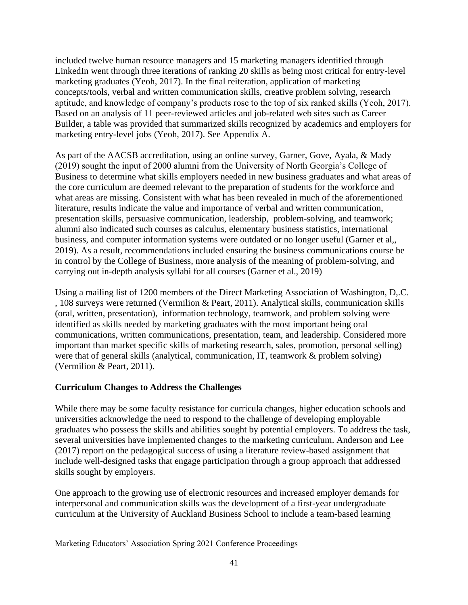included twelve human resource managers and 15 marketing managers identified through LinkedIn went through three iterations of ranking 20 skills as being most critical for entry-level marketing graduates (Yeoh, 2017). In the final reiteration, application of marketing concepts/tools, verbal and written communication skills, creative problem solving, research aptitude, and knowledge of company's products rose to the top of six ranked skills (Yeoh, 2017). Based on an analysis of 11 peer-reviewed articles and job-related web sites such as Career Builder, a table was provided that summarized skills recognized by academics and employers for marketing entry-level jobs (Yeoh, 2017). See Appendix A.

As part of the AACSB accreditation, using an online survey, Garner, Gove, Ayala, & Mady (2019) sought the input of 2000 alumni from the University of North Georgia's College of Business to determine what skills employers needed in new business graduates and what areas of the core curriculum are deemed relevant to the preparation of students for the workforce and what areas are missing. Consistent with what has been revealed in much of the aforementioned literature, results indicate the value and importance of verbal and written communication, presentation skills, persuasive communication, leadership, problem-solving, and teamwork; alumni also indicated such courses as calculus, elementary business statistics, international business, and computer information systems were outdated or no longer useful (Garner et al,, 2019). As a result, recommendations included ensuring the business communications course be in control by the College of Business, more analysis of the meaning of problem-solving, and carrying out in-depth analysis syllabi for all courses (Garner et al., 2019)

Using a mailing list of 1200 members of the Direct Marketing Association of Washington, D,.C. , 108 surveys were returned (Vermilion & Peart, 2011). Analytical skills, communication skills (oral, written, presentation), information technology, teamwork, and problem solving were identified as skills needed by marketing graduates with the most important being oral communications, written communications, presentation, team, and leadership. Considered more important than market specific skills of marketing research, sales, promotion, personal selling) were that of general skills (analytical, communication, IT, teamwork & problem solving) (Vermilion & Peart, 2011).

## **Curriculum Changes to Address the Challenges**

While there may be some faculty resistance for curricula changes, higher education schools and universities acknowledge the need to respond to the challenge of developing employable graduates who possess the skills and abilities sought by potential employers. To address the task, several universities have implemented changes to the marketing curriculum. Anderson and Lee (2017) report on the pedagogical success of using a literature review-based assignment that include well-designed tasks that engage participation through a group approach that addressed skills sought by employers.

One approach to the growing use of electronic resources and increased employer demands for interpersonal and communication skills was the development of a first-year undergraduate curriculum at the University of Auckland Business School to include a team-based learning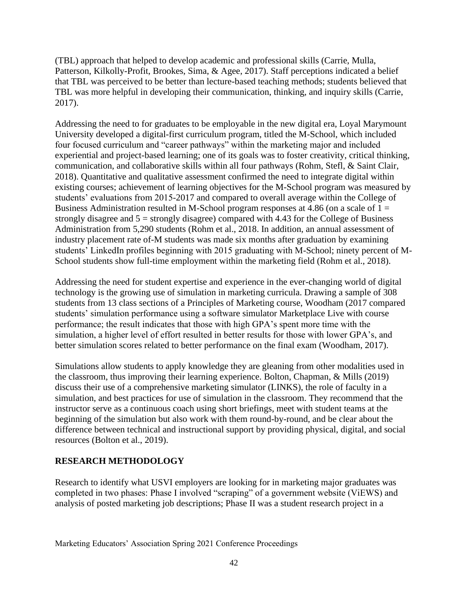(TBL) approach that helped to develop academic and professional skills (Carrie, Mulla, Patterson, Kilkolly-Profit, Brookes, Sima, & Agee, 2017). Staff perceptions indicated a belief that TBL was perceived to be better than lecture-based teaching methods; students believed that TBL was more helpful in developing their communication, thinking, and inquiry skills (Carrie, 2017).

Addressing the need to for graduates to be employable in the new digital era, Loyal Marymount University developed a digital-first curriculum program, titled the M-School, which included four focused curriculum and "career pathways" within the marketing major and included experiential and project-based learning; one of its goals was to foster creativity, critical thinking, communication, and collaborative skills within all four pathways (Rohm, Stefl, & Saint Clair, 2018). Quantitative and qualitative assessment confirmed the need to integrate digital within existing courses; achievement of learning objectives for the M-School program was measured by students' evaluations from 2015-2017 and compared to overall average within the College of Business Administration resulted in M-School program responses at 4.86 (on a scale of  $1 =$ strongly disagree and  $5 =$  strongly disagree) compared with 4.43 for the College of Business Administration from 5,290 students (Rohm et al., 2018. In addition, an annual assessment of industry placement rate of-M students was made six months after graduation by examining students' LinkedIn profiles beginning with 2015 graduating with M-School; ninety percent of M-School students show full-time employment within the marketing field (Rohm et al., 2018).

Addressing the need for student expertise and experience in the ever-changing world of digital technology is the growing use of simulation in marketing curricula. Drawing a sample of 308 students from 13 class sections of a Principles of Marketing course, Woodham (2017 compared students' simulation performance using a software simulator Marketplace Live with course performance; the result indicates that those with high GPA's spent more time with the simulation, a higher level of effort resulted in better results for those with lower GPA's, and better simulation scores related to better performance on the final exam (Woodham, 2017).

Simulations allow students to apply knowledge they are gleaning from other modalities used in the classroom, thus improving their learning experience. Bolton, Chapman, & Mills (2019) discuss their use of a comprehensive marketing simulator (LINKS), the role of faculty in a simulation, and best practices for use of simulation in the classroom. They recommend that the instructor serve as a continuous coach using short briefings, meet with student teams at the beginning of the simulation but also work with them round-by-round, and be clear about the difference between technical and instructional support by providing physical, digital, and social resources (Bolton et al., 2019).

## **RESEARCH METHODOLOGY**

Research to identify what USVI employers are looking for in marketing major graduates was completed in two phases: Phase I involved "scraping" of a government website (ViEWS) and analysis of posted marketing job descriptions; Phase II was a student research project in a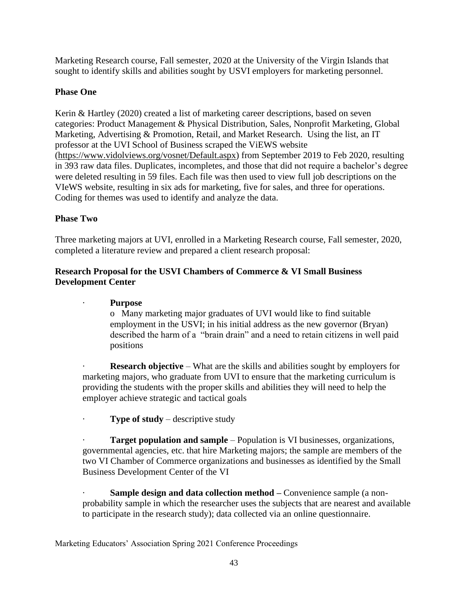Marketing Research course, Fall semester, 2020 at the University of the Virgin Islands that sought to identify skills and abilities sought by USVI employers for marketing personnel.

## **Phase One**

Kerin & Hartley (2020) created a list of marketing career descriptions, based on seven categories: Product Management & Physical Distribution, Sales, Nonprofit Marketing, Global Marketing, Advertising & Promotion, Retail, and Market Research. Using the list, an IT professor at the UVI School of Business scraped the ViEWS website [\(https://www.vidolviews.org/vosnet/Default.aspx\)](https://www.vidolviews.org/vosnet/Default.aspx) from September 2019 to Feb 2020, resulting in 393 raw data files. Duplicates, incompletes, and those that did not require a bachelor's degree were deleted resulting in 59 files. Each file was then used to view full job descriptions on the VIeWS website, resulting in six ads for marketing, five for sales, and three for operations. Coding for themes was used to identify and analyze the data.

## **Phase Two**

Three marketing majors at UVI, enrolled in a Marketing Research course, Fall semester, 2020, completed a literature review and prepared a client research proposal:

## **Research Proposal for the USVI Chambers of Commerce & VI Small Business Development Center**

## · **Purpose**

o Many marketing major graduates of UVI would like to find suitable employment in the USVI; in his initial address as the new governor (Bryan) described the harm of a "brain drain" and a need to retain citizens in well paid positions

**Research objective** – What are the skills and abilities sought by employers for marketing majors, who graduate from UVI to ensure that the marketing curriculum is providing the students with the proper skills and abilities they will need to help the employer achieve strategic and tactical goals

**Type of study** – descriptive study

**Target population and sample** – Population is VI businesses, organizations, governmental agencies, etc. that hire Marketing majors; the sample are members of the two VI Chamber of Commerce organizations and businesses as identified by the Small Business Development Center of the VI

**Sample design and data collection method –** Convenience sample (a nonprobability sample in which the researcher uses the subjects that are nearest and available to participate in the research study); data collected via an online questionnaire.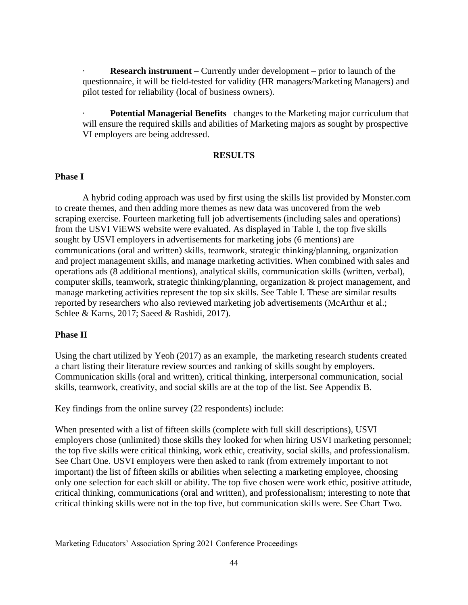**Research instrument** – Currently under development – prior to launch of the questionnaire, it will be field-tested for validity (HR managers/Marketing Managers) and pilot tested for reliability (local of business owners).

**Potential Managerial Benefits** –changes to the Marketing major curriculum that will ensure the required skills and abilities of Marketing majors as sought by prospective VI employers are being addressed.

## **RESULTS**

## **Phase I**

 A hybrid coding approach was used by first using the skills list provided by Monster.com to create themes, and then adding more themes as new data was uncovered from the web scraping exercise. Fourteen marketing full job advertisements (including sales and operations) from the USVI ViEWS website were evaluated. As displayed in Table I, the top five skills sought by USVI employers in advertisements for marketing jobs (6 mentions) are communications (oral and written) skills, teamwork, strategic thinking/planning, organization and project management skills, and manage marketing activities. When combined with sales and operations ads (8 additional mentions), analytical skills, communication skills (written, verbal), computer skills, teamwork, strategic thinking/planning, organization & project management, and manage marketing activities represent the top six skills. See Table I. These are similar results reported by researchers who also reviewed marketing job advertisements (McArthur et al.; Schlee & Karns, 2017; Saeed & Rashidi, 2017).

## **Phase II**

Using the chart utilized by Yeoh (2017) as an example, the marketing research students created a chart listing their literature review sources and ranking of skills sought by employers. Communication skills (oral and written), critical thinking, interpersonal communication, social skills, teamwork, creativity, and social skills are at the top of the list. See Appendix B.

Key findings from the online survey (22 respondents) include:

When presented with a list of fifteen skills (complete with full skill descriptions), USVI employers chose (unlimited) those skills they looked for when hiring USVI marketing personnel; the top five skills were critical thinking, work ethic, creativity, social skills, and professionalism. See Chart One. USVI employers were then asked to rank (from extremely important to not important) the list of fifteen skills or abilities when selecting a marketing employee, choosing only one selection for each skill or ability. The top five chosen were work ethic, positive attitude, critical thinking, communications (oral and written), and professionalism; interesting to note that critical thinking skills were not in the top five, but communication skills were. See Chart Two.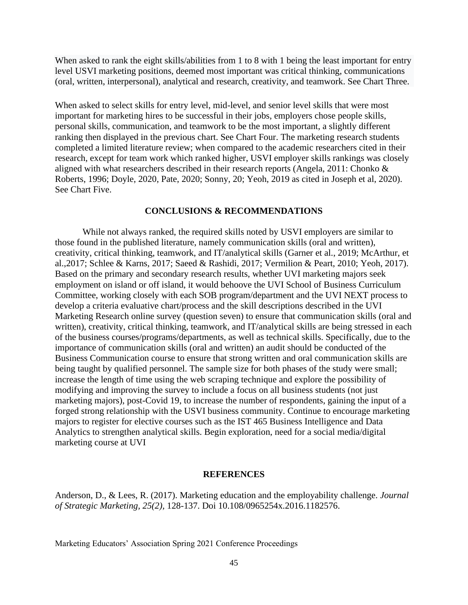When asked to rank the eight skills/abilities from 1 to 8 with 1 being the least important for entry level USVI marketing positions, deemed most important was critical thinking, communications (oral, written, interpersonal), analytical and research, creativity, and teamwork. See Chart Three.

When asked to select skills for entry level, mid-level, and senior level skills that were most important for marketing hires to be successful in their jobs, employers chose people skills, personal skills, communication, and teamwork to be the most important, a slightly different ranking then displayed in the previous chart. See Chart Four. The marketing research students completed a limited literature review; when compared to the academic researchers cited in their research, except for team work which ranked higher, USVI employer skills rankings was closely aligned with what researchers described in their research reports (Angela, 2011: Chonko & Roberts, 1996; Doyle, 2020, Pate, 2020; Sonny, 20; Yeoh, 2019 as cited in Joseph et al, 2020). See Chart Five.

#### **CONCLUSIONS & RECOMMENDATIONS**

 While not always ranked, the required skills noted by USVI employers are similar to those found in the published literature, namely communication skills (oral and written), creativity, critical thinking, teamwork, and IT/analytical skills (Garner et al., 2019; McArthur, et al.,2017; Schlee & Karns, 2017; Saeed & Rashidi, 2017; Vermilion & Peart, 2010; Yeoh, 2017). Based on the primary and secondary research results, whether UVI marketing majors seek employment on island or off island, it would behoove the UVI School of Business Curriculum Committee, working closely with each SOB program/department and the UVI NEXT process to develop a criteria evaluative chart/process and the skill descriptions described in the UVI Marketing Research online survey (question seven) to ensure that communication skills (oral and written), creativity, critical thinking, teamwork, and IT/analytical skills are being stressed in each of the business courses/programs/departments, as well as technical skills. Specifically, due to the importance of communication skills (oral and written) an audit should be conducted of the Business Communication course to ensure that strong written and oral communication skills are being taught by qualified personnel. The sample size for both phases of the study were small; increase the length of time using the web scraping technique and explore the possibility of modifying and improving the survey to include a focus on all business students (not just marketing majors), post-Covid 19, to increase the number of respondents, gaining the input of a forged strong relationship with the USVI business community. Continue to encourage marketing majors to register for elective courses such as the IST 465 Business Intelligence and Data Analytics to strengthen analytical skills. Begin exploration, need for a social media/digital marketing course at UVI

#### **REFERENCES**

Anderson, D., & Lees, R. (2017). Marketing education and the employability challenge. *Journal of Strategic Marketing, 25(2),* 128-137. Doi 10.108/0965254x.2016.1182576.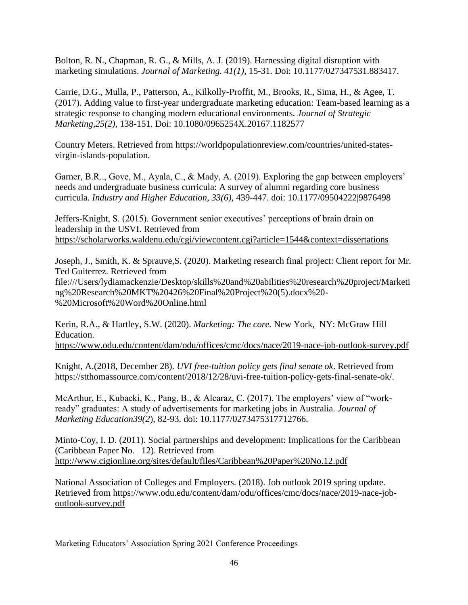Bolton, R. N., Chapman, R. G., & Mills, A. J. (2019). Harnessing digital disruption with marketing simulations. *Journal of Marketing. 41(1),* 15-31. Doi: 10.1177/027347531.883417.

Carrie, D.G., Mulla, P., Patterson, A., Kilkolly-Proffit, M., Brooks, R., Sima, H., & Agee, T. (2017). Adding value to first-year undergraduate marketing education: Team-based learning as a strategic response to changing modern educational environments. *Journal of Strategic Marketing,25(2),* 138-151. Doi: 10.1080/0965254X.20167.1182577

Country Meters. Retrieved from https://worldpopulationreview.com/countries/united-statesvirgin-islands-population.

Garner, B.R.., Gove, M., Ayala, C., & Mady, A. (2019). Exploring the gap between employers' needs and undergraduate business curricula: A survey of alumni regarding core business curricula. *Industry and Higher Education, 33(6),* 439-447. doi: 10.1177/09504222|9876498

Jeffers-Knight, S. (2015). Government senior executives' perceptions of brain drain on leadership in the USVI. Retrieved fro[m](https://scholarworks.waldenu.edu/cgi/viewcontent.cgi?article=1544&context=dissertations) <https://scholarworks.waldenu.edu/cgi/viewcontent.cgi?article=1544&context=dissertations>

Joseph, J., Smith, K. & Sprauve,S. (2020). Marketing research final project: Client report for Mr. Ted Guiterrez. Retrieved from file:///Users/lydiamackenzie/Desktop/skills%20and%20abilities%20research%20project/Marketi ng%20Research%20MKT%20426%20Final%20Project%20(5).docx%20- %20Microsoft%20Word%20Online.html

Kerin, R.A., & Hartley, S.W. (2020). *Marketing: The core.* New York, NY: McGraw Hill Education. <https://www.odu.edu/content/dam/odu/offices/cmc/docs/nace/2019-nace-job-outlook-survey.pdf>

Knight, A.(2018, December 28). *UVI free-tuition policy gets final senate ok*. Retrieved fro[m](https://stthomassource.com/content/2018/12/28/uvi-free-tuition-policy-gets-final-senate-ok/) [https://stthomassource.com/content/2018/12/28/uvi-free-tuition-policy-gets-final-senate-ok/.](https://stthomassource.com/content/2018/12/28/uvi-free-tuition-policy-gets-final-senate-ok/)

McArthur, E., Kubacki, K., Pang, B., & Alcaraz, C. (2017). The employers' view of "workready" graduates: A study of advertisements for marketing jobs in Australia. *Journal of Marketing Education39(2*), 82-93. doi: 10.1177/0273475317712766.

Minto-Coy, I. D. (2011). Social partnerships and development: Implications for the Caribbean (Caribbean Paper No. 12). Retrieved fro[m](http://www.cigionline.org/sites/default/files/Caribbean%20Paper%20No.12.pdf) <http://www.cigionline.org/sites/default/files/Caribbean%20Paper%20No.12.pdf>

National Association of Colleges and Employers. (2018). Job outlook 2019 spring update. Retrieved from [https://www.odu.edu/content/dam/odu/offices/cmc/docs/nace/2019-nace-job](https://www.odu.edu/content/dam/odu/offices/cmc/docs/nace/2019-nace-job-outlook-survey.pdf)[outlook-survey.pdf](https://www.odu.edu/content/dam/odu/offices/cmc/docs/nace/2019-nace-job-outlook-survey.pdf)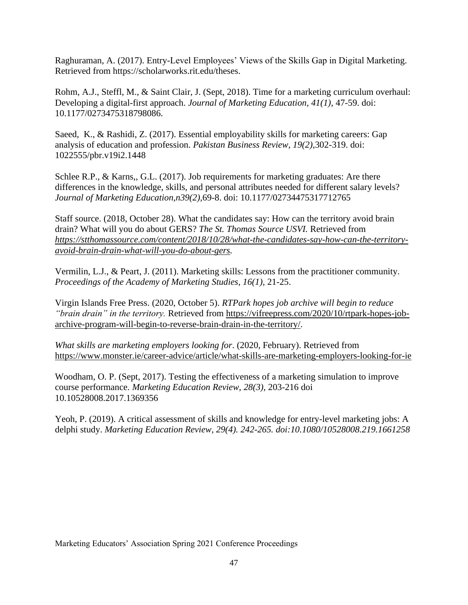Raghuraman, A. (2017). Entry-Level Employees' Views of the Skills Gap in Digital Marketing. Retrieved from https://scholarworks.rit.edu/theses.

Rohm, A.J., Steffl, M., & Saint Clair, J. (Sept, 2018). Time for a marketing curriculum overhaul: Developing a digital-first approach. *Journal of Marketing Education, 41(1),* 47-59. doi: 10.1177/0273475318798086.

Saeed, K., & Rashidi, Z. (2017). Essential employability skills for marketing careers: Gap analysis of education and profession. *Pakistan Business Review, 19(2),*302-319. doi: 1022555/pbr.v19i2.1448

Schlee R.P., & Karns,, G.L. (2017). Job requirements for marketing graduates: Are there differences in the knowledge, skills, and personal attributes needed for different salary levels? *Journal of Marketing Education,n39(2),*69-8. doi: 10.1177/02734475317712765

Staff source. (2018, October 28). What the candidates say: How can the territory avoid brain drain? What will you do about GERS? *The St. Thomas Source USVI.* Retrieved fro[m](https://stthomassource.com/content/2018/10/28/what-the-candidates-say-how-can-the-territory-avoid-brain-drain-what-will-you-do-about-gers) *[https://stthomassource.com/content/2018/10/28/what-the-candidates-say-how-can-the-territory](https://stthomassource.com/content/2018/10/28/what-the-candidates-say-how-can-the-territory-avoid-brain-drain-what-will-you-do-about-gers)[avoid-brain-drain-what-will-you-do-about-gers.](https://stthomassource.com/content/2018/10/28/what-the-candidates-say-how-can-the-territory-avoid-brain-drain-what-will-you-do-about-gers)*

Vermilin, L.J., & Peart, J. (2011). Marketing skills: Lessons from the practitioner community. *Proceedings of the Academy of Marketing Studies, 16(1),* 21-25.

Virgin Islands Free Press. (2020, October 5). *RTPark hopes job archive will begin to reduce "brain drain" in the territory.* Retrieved from [https://vifreepress.com/2020/10/rtpark-hopes-job](https://vifreepress.com/2020/10/rtpark-hopes-job-archive-program-will-begin-to-reverse-brain-drain-in-the-territory/)[archive-program-will-begin-to-reverse-brain-drain-in-the-territory/.](https://vifreepress.com/2020/10/rtpark-hopes-job-archive-program-will-begin-to-reverse-brain-drain-in-the-territory/)

*What skills are marketing employers looking for*. (2020, February). Retrieved fro[m](https://www.monster.ie/career-advice/article/what-skills-are-marketing-employers-looking-for-ie) <https://www.monster.ie/career-advice/article/what-skills-are-marketing-employers-looking-for-ie>

Woodham, O. P. (Sept, 2017). Testing the effectiveness of a marketing simulation to improve course performance. *Marketing Education Review, 28(3),* 203-216 doi 10.10528008.2017.1369356

Yeoh, P. (2019). A critical assessment of skills and knowledge for entry-level marketing jobs: A delphi study. *Marketing Education Review, 29(4). 242-265. doi:10.1080/10528008.219.1661258*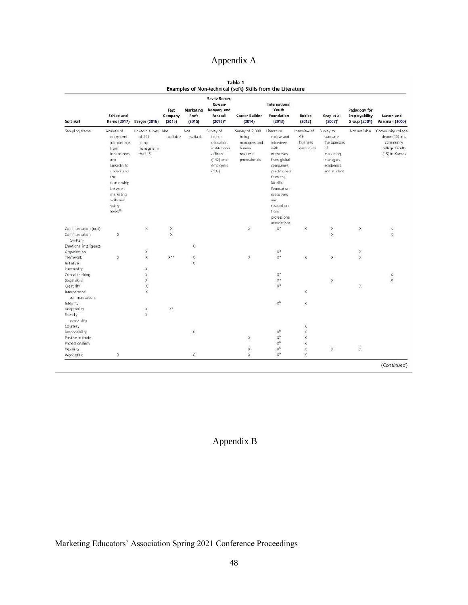# Appendix A

|                                                             | Table 1 |  |  |
|-------------------------------------------------------------|---------|--|--|
| Examples of Non-technical (soft) Skills from the Literature |         |  |  |

| Soft skill                                                           | Schlee and<br>Karns (2017)                                                                                                                                                              | Berger (2016)                                                      | Fast<br>Company<br>(2016) | Marketing<br>Profs<br>(2015) | Savitz-Romer,<br>Rowan-<br>Kenyon, and<br>Fancsali<br>$(2015)^*$                                   | <b>Career Builder</b><br>(2014)                                                 | International<br>Youth<br>Foundation<br>(2013)                                                                                                                                                                               | <b>Robles</b><br>(2012)                      | Gray et al.<br>$(2007)^+$                                                                        | Pedagogy for<br>Employability<br><b>Group (2004)</b> | Larson and<br><b>Wissman (2000)</b>                                                   |
|----------------------------------------------------------------------|-----------------------------------------------------------------------------------------------------------------------------------------------------------------------------------------|--------------------------------------------------------------------|---------------------------|------------------------------|----------------------------------------------------------------------------------------------------|---------------------------------------------------------------------------------|------------------------------------------------------------------------------------------------------------------------------------------------------------------------------------------------------------------------------|----------------------------------------------|--------------------------------------------------------------------------------------------------|------------------------------------------------------|---------------------------------------------------------------------------------------|
| Sampling frame                                                       | Analysis of<br>entry-level<br>job postings<br>from<br>Indeed.com<br>and<br>Linkedin to<br>understand<br>the<br>relationship<br>between.<br>marketing<br>skills and<br>salary<br>levels® | LinkedIn survey Not<br>of 291<br>hiring<br>managers in<br>the U.S. | available                 | Not<br>available             | Survey of<br>higher<br>education<br>institutional<br>officers<br>$(147)$ and<br>employers<br>(103) | Survey of 2,300<br>hiring<br>managers and<br>human<br>resource<br>professionals | Literature<br>review and<br>interviews<br>with<br>executives<br>from global<br>companies;<br>practitioners<br>from the<br>Mozilla<br>Foundation:<br>executives<br>and<br>researchers<br>from<br>professional<br>associations | Interview of<br>49<br>business<br>executives | Survey to<br>compare<br>the opinions<br>of<br>marketing<br>managers,<br>academics<br>and student | Not available                                        | Community college<br>deans (15) and<br>community<br>college faculty<br>(15) in Kansas |
| Communication (oral)                                                 |                                                                                                                                                                                         | X                                                                  | X                         |                              |                                                                                                    | $\mathsf{x}$                                                                    | $\mathsf{X}^{\mathsf{a}}$                                                                                                                                                                                                    | ×                                            | ×                                                                                                | X                                                    | X                                                                                     |
| Communication<br>(written)<br>Emotional intelligence<br>Organization | X                                                                                                                                                                                       | X                                                                  | $\mathsf{x}$              | X                            |                                                                                                    |                                                                                 | $\mathsf{X}^{\mathsf{a}}$                                                                                                                                                                                                    |                                              | $\overline{\mathsf{x}}$                                                                          | $\mathsf X$                                          | $\times$                                                                              |
| Teamwork<br>Initiative                                               | X                                                                                                                                                                                       | $\times$                                                           | $X^{\star\star}$          | X<br>X                       |                                                                                                    | $\times$                                                                        | $\mathsf{X}^\mathsf{a}$                                                                                                                                                                                                      | X                                            | X                                                                                                | X                                                    |                                                                                       |
| Punctuality<br>Critical thinking                                     |                                                                                                                                                                                         | X<br>X                                                             |                           |                              |                                                                                                    |                                                                                 | $\mathsf{X}^{\mathsf{a}}$                                                                                                                                                                                                    |                                              |                                                                                                  |                                                      | ×                                                                                     |
| Social skills                                                        |                                                                                                                                                                                         | X                                                                  |                           |                              |                                                                                                    |                                                                                 | $\mathbb{X}^n$                                                                                                                                                                                                               |                                              | X                                                                                                |                                                      | X                                                                                     |
| Creativity                                                           |                                                                                                                                                                                         | X                                                                  |                           |                              |                                                                                                    |                                                                                 | $X^2$                                                                                                                                                                                                                        |                                              |                                                                                                  | X                                                    |                                                                                       |
| Interpersonal<br>communication                                       |                                                                                                                                                                                         | X                                                                  |                           |                              |                                                                                                    |                                                                                 |                                                                                                                                                                                                                              | X                                            |                                                                                                  |                                                      |                                                                                       |
| Integrity                                                            |                                                                                                                                                                                         |                                                                    |                           |                              |                                                                                                    |                                                                                 | $\mathsf{X}^{\mathrm{b}}$                                                                                                                                                                                                    | x                                            |                                                                                                  |                                                      |                                                                                       |
| Adaptability                                                         |                                                                                                                                                                                         | x                                                                  | $X^*$                     |                              |                                                                                                    |                                                                                 |                                                                                                                                                                                                                              |                                              |                                                                                                  |                                                      |                                                                                       |
| Friendly<br>personality                                              |                                                                                                                                                                                         | $\times$                                                           |                           |                              |                                                                                                    |                                                                                 |                                                                                                                                                                                                                              |                                              |                                                                                                  |                                                      |                                                                                       |
| Courtesy                                                             |                                                                                                                                                                                         |                                                                    |                           |                              |                                                                                                    |                                                                                 |                                                                                                                                                                                                                              | X                                            |                                                                                                  |                                                      |                                                                                       |
| Responsibility                                                       |                                                                                                                                                                                         |                                                                    |                           | X                            |                                                                                                    |                                                                                 | $X^b$                                                                                                                                                                                                                        | X                                            |                                                                                                  |                                                      |                                                                                       |
| Positive attitude                                                    |                                                                                                                                                                                         |                                                                    |                           |                              |                                                                                                    | X                                                                               | $\mathsf{X}^\mathrm{b}$                                                                                                                                                                                                      | X                                            |                                                                                                  |                                                      |                                                                                       |
| Professionalism                                                      |                                                                                                                                                                                         |                                                                    |                           |                              |                                                                                                    |                                                                                 | $\mathsf{X}^{\rm b}$                                                                                                                                                                                                         | X                                            |                                                                                                  |                                                      |                                                                                       |
| Flexibility                                                          |                                                                                                                                                                                         |                                                                    |                           |                              |                                                                                                    | $\mathsf X$                                                                     | $\mathsf{X}^\diamond$                                                                                                                                                                                                        | X                                            | X                                                                                                | X                                                    |                                                                                       |
| Work ethic                                                           | X                                                                                                                                                                                       |                                                                    |                           | X                            |                                                                                                    | X                                                                               | $\mathsf{X}^{\diamond}$                                                                                                                                                                                                      | X                                            |                                                                                                  |                                                      |                                                                                       |

(Continued)

## Appendix B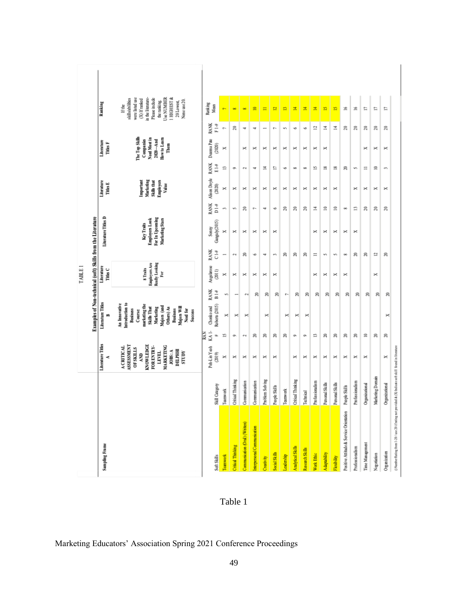|                                                   |                                                        |                                                                                                                                                                   |                                           |                                                                                                                                                                                                  |                               | TABLE I                                                 |                              |                                                                    |                               |                                                             |                   |                                                                                            |                   |                                                                                                                                                                                                |  |
|---------------------------------------------------|--------------------------------------------------------|-------------------------------------------------------------------------------------------------------------------------------------------------------------------|-------------------------------------------|--------------------------------------------------------------------------------------------------------------------------------------------------------------------------------------------------|-------------------------------|---------------------------------------------------------|------------------------------|--------------------------------------------------------------------|-------------------------------|-------------------------------------------------------------|-------------------|--------------------------------------------------------------------------------------------|-------------------|------------------------------------------------------------------------------------------------------------------------------------------------------------------------------------------------|--|
|                                                   |                                                        | Literature Titles                                                                                                                                                 |                                           |                                                                                                                                                                                                  |                               | Literature                                              |                              | Examples of Non-technical (soft) Skills from the Literature        |                               | Literature                                                  |                   | Literature                                                                                 |                   | Ranking                                                                                                                                                                                        |  |
| Sampling Frame                                    |                                                        | ×,                                                                                                                                                                |                                           | Literature Titles                                                                                                                                                                                |                               | Titles C                                                |                              | Literature Titles D                                                |                               | <b>Titles E</b>                                             |                   | Titles F                                                                                   |                   |                                                                                                                                                                                                |  |
|                                                   |                                                        | <b>KNOWLEDGE</b><br>ASSESSMENT<br>MARKETING<br><b>ACRITICAL</b><br>FOR ENTRY-<br><b>OF SKILLS</b><br>$10B\$ : A<br><b>DELPHH</b><br><b>LEVEL</b><br>STUDY<br>AND. |                                           | Introduction to<br>An Innovative<br>marketing the<br>Majors (and<br>Majors Will<br>Skills That<br>Others) As<br>Marketing<br><b>Business</b><br><b>Business</b><br>Need for<br>Course<br>Success |                               | <b>Employers</b> Are<br>Really Looking<br>8 Traits<br>Ē |                              | For In Upcoming<br>Employers Look<br>Marketing Stars<br>Key Traits |                               | Marketing<br>Important<br>Skills that<br>Employers<br>Value |                   | The Top Skills<br>Need Most in<br><b>How to Learn</b><br>$2020 -$ And<br>Companies<br>Them |                   | were listed use<br>Use NUMBER<br><b>I HIGHEST &amp;</b><br>in the literature-<br>Please include<br>skill s/abi lilties<br>(X) If ranked<br>None use 20.<br>the ranking.<br>20 Lowest<br>If the |  |
| Soft Skills                                       | Skill Category                                         | Poh-Lin Yeoh<br>(2019)                                                                                                                                            | KA <sub>1</sub> .<br>RAN<br>$\Rightarrow$ | Roberts (2015)<br>Chonko and                                                                                                                                                                     | <b>RANK</b><br>$\frac{4}{14}$ | Angelarose<br>$(2011)$                                  | <b>RANK</b><br>キロ            | Ganguly(2015)<br>Sonny                                             | <b>RANK</b><br>$\frac{4}{11}$ | Alison Doyle<br>(2020)                                      | <b>RANK</b><br>主田 | Deama Pate<br>(2020)                                                                       | <b>BANK</b><br>十二 | Ranking<br>Mean                                                                                                                                                                                |  |
| Teamwork                                          | Teamwork                                               | ×                                                                                                                                                                 | 5                                         | ×                                                                                                                                                                                                | S                             | ×                                                       | -                            | ×                                                                  | S                             | ×                                                           | ß                 | ×                                                                                          | r-                |                                                                                                                                                                                                |  |
| <b>Critical Thinking</b>                          | Critical Thinking                                      | ×                                                                                                                                                                 | Ģ,                                        | ×                                                                                                                                                                                                | -                             | ×                                                       | $\mathfrak{g}_{\mathcal{A}}$ | ×                                                                  | s,                            | ×                                                           | ò                 |                                                                                            | ន                 | $\infty$                                                                                                                                                                                       |  |
| Communication (Oral) (Written)                    | Communication                                          | ×                                                                                                                                                                 | $\mathfrak{S}$                            | ×                                                                                                                                                                                                | e-a                           | ×                                                       | g                            | ×                                                                  | 20                            | ×                                                           | $\mathbb{C}^4$    | ×                                                                                          | Ħ                 | œ                                                                                                                                                                                              |  |
| Interpersonal Communication                       | Communication                                          | $\asymp$                                                                                                                                                          | 8                                         |                                                                                                                                                                                                  | S                             | ×                                                       | é                            | ×                                                                  | $\overline{\phantom{a}}$      | ×                                                           | ÷                 | ×                                                                                          | w                 | $\approx$                                                                                                                                                                                      |  |
| Creativity                                        | Problem Solving                                        | ×                                                                                                                                                                 | S                                         | ×                                                                                                                                                                                                | S                             | ×                                                       | ÷                            | ×                                                                  | ÷                             | ×                                                           | 츠                 | ×                                                                                          |                   | Ξ                                                                                                                                                                                              |  |
| Social Skills                                     | People Skills                                          | ×                                                                                                                                                                 | g                                         |                                                                                                                                                                                                  | 8                             | ×                                                       | $\epsilon \tau_0$            | ×                                                                  | ٠                             | ×                                                           | n                 | ×                                                                                          | e-                | <b>P</b>                                                                                                                                                                                       |  |
| Leadership                                        | Teamwork                                               |                                                                                                                                                                   | g                                         | ×                                                                                                                                                                                                | r-                            |                                                         | S                            |                                                                    | 20                            | ×                                                           | ٠                 | ×                                                                                          | m                 | m                                                                                                                                                                                              |  |
| Analytical Skills                                 | Critical Thinking                                      | ×                                                                                                                                                                 | Ģ,                                        | ×                                                                                                                                                                                                | S                             |                                                         | g                            |                                                                    | $\approx$                     | ×                                                           | $\infty$          | ×                                                                                          | ٠                 | 世                                                                                                                                                                                              |  |
| Research Skills                                   | Technical                                              | ×                                                                                                                                                                 | o,                                        | ×                                                                                                                                                                                                | 8                             |                                                         | S                            |                                                                    | 20                            | ×                                                           | 90                | ×                                                                                          | 4                 | 쾤                                                                                                                                                                                              |  |
| Work Ethic                                        | Professionalism                                        | ×                                                                                                                                                                 | 竺                                         |                                                                                                                                                                                                  | S                             | ×                                                       | $\equiv$                     | ×                                                                  | r,                            | ×                                                           | 15                | ×                                                                                          | $\mathbf{r}$      | ×.                                                                                                                                                                                             |  |
| Adaptability                                      | Personal Skills                                        | ×                                                                                                                                                                 | g                                         |                                                                                                                                                                                                  | g                             | ×                                                       | S                            | ×                                                                  | $\approx$                     | ×                                                           | $\frac{8}{10}$    | ×                                                                                          | 츠                 | 竺                                                                                                                                                                                              |  |
| Flexibility                                       | Personal Skills                                        | ×                                                                                                                                                                 | S                                         |                                                                                                                                                                                                  | S                             | ×                                                       | S                            | ×                                                                  | ≘                             | ×                                                           | 18                |                                                                                            | 그                 | B                                                                                                                                                                                              |  |
| Positive Attitude & Service Orientation           | People Skills                                          | ×                                                                                                                                                                 | S                                         |                                                                                                                                                                                                  | S                             | ×                                                       | 90                           | ×                                                                  | œ                             |                                                             | g                 |                                                                                            | 20                | 兰                                                                                                                                                                                              |  |
| Professionalism                                   | Professionalism                                        | ×                                                                                                                                                                 | g                                         |                                                                                                                                                                                                  | 8                             |                                                         | g                            | ×                                                                  | 13                            | ×                                                           | S                 |                                                                                            | ន                 | 16                                                                                                                                                                                             |  |
| Time Management                                   | Organizational                                         | ×                                                                                                                                                                 | ≘                                         |                                                                                                                                                                                                  | S                             |                                                         | S                            |                                                                    | $\approx$                     | ×                                                           | $\equiv$          | ×                                                                                          | 20                | n                                                                                                                                                                                              |  |
| Negotiation                                       | Marketing Domain                                       |                                                                                                                                                                   | S                                         |                                                                                                                                                                                                  | g                             | ×                                                       | 12                           |                                                                    | 20                            | ×                                                           | $\approx$         | ×                                                                                          | g                 | Ľ                                                                                                                                                                                              |  |
| Organization                                      | Organizational                                         | ×                                                                                                                                                                 | S                                         | ×                                                                                                                                                                                                | 8                             |                                                         | S,                           |                                                                    | 20                            | ×                                                           | $\epsilon \tau_3$ | ×                                                                                          | 20                | n                                                                                                                                                                                              |  |
| () Number Rating from 1-20 / use 20 if rating not | provided & (X) Indicate soft skill found in literature |                                                                                                                                                                   |                                           |                                                                                                                                                                                                  |                               |                                                         |                              |                                                                    |                               |                                                             |                   |                                                                                            |                   |                                                                                                                                                                                                |  |

Table 1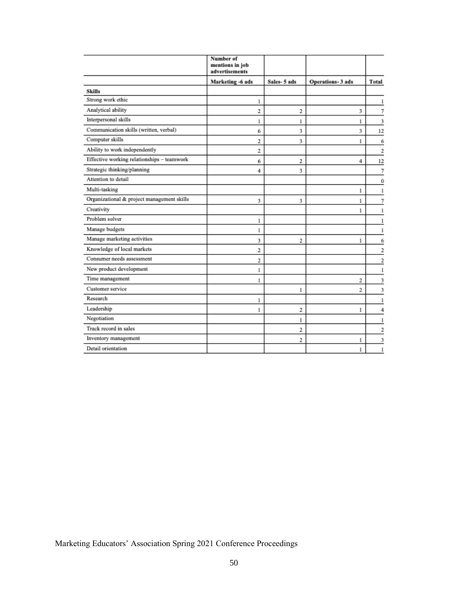|                                            | Number of<br>mentions in job<br>advertisements |             |                  |                |
|--------------------------------------------|------------------------------------------------|-------------|------------------|----------------|
|                                            | Marketing -6 ads                               | Sales-5 ads | Operations-3 ads | <b>Total</b>   |
| Skills                                     |                                                |             |                  |                |
| Strong work ethic                          | 1                                              |             |                  |                |
| Analytical ability                         | 2                                              | 2           | 3                | 7              |
| Interpersonal skills                       | 1                                              | 1           | 1                | 3              |
| Communication skills (written, verbal)     | б                                              | 3           | 3                | 12             |
| Computer skills                            | 2                                              | 3           | 1                | б              |
| Ability to work independently              | 2                                              |             |                  | $\overline{2}$ |
| Effective working relationships - teamwork | б                                              | 2           | 4                | 12             |
| Strategic thinking/planning                | 4                                              | 3           |                  | 7              |
| Attention to detail                        |                                                |             |                  | 0              |
| Multi-tasking                              |                                                |             | 1                | 1              |
| Organizational & project management skills | 3                                              | 3           | 1                | 7              |
| Creativity                                 |                                                |             | 1                | 1              |
| Problem solver                             | 1                                              |             |                  | 1              |
| Manage budgets                             | 1                                              |             |                  |                |
| Manage marketing activities                | 3                                              | 2           | 1                | б              |
| Knowledge of local markets                 | 2                                              |             |                  | $\overline{2}$ |
| Consumer needs assessment                  | 2                                              |             |                  | $\overline{2}$ |
| New product development                    | 1                                              |             |                  | 1              |
| Time management                            | 1                                              |             | 2                | 3              |
| Customer service                           |                                                | 1           | 2                | 3              |
| Research                                   | 1                                              |             |                  | 1              |
| Leadership                                 | 1                                              | 2           | 1                |                |
| Negotiation                                |                                                | 1           |                  |                |
| Track record in sales                      |                                                | 2           |                  | 2              |
| Inventory management                       |                                                | 2           | 1                | 3              |
| Detail orientation                         |                                                |             |                  | 1              |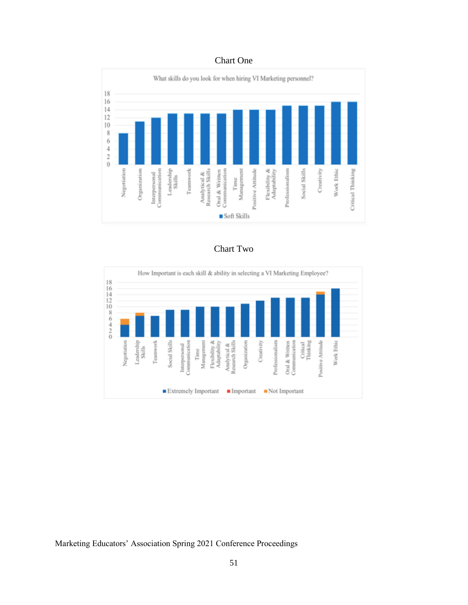## Chart One



Chart Two

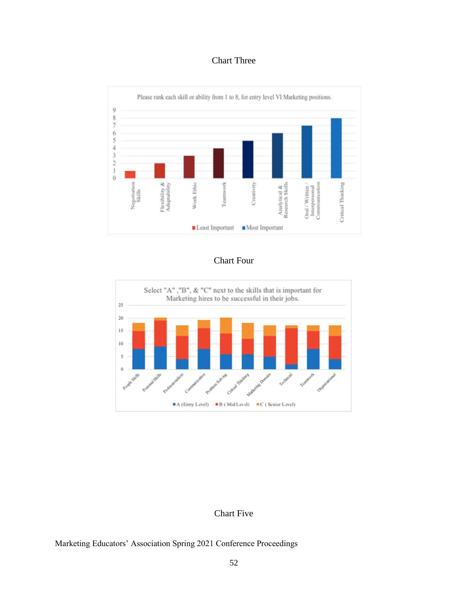## Chart Three



## Chart Four



## Chart Five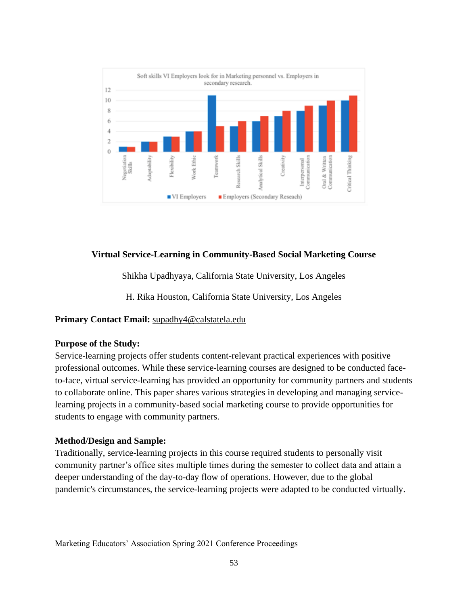

## **Virtual Service-Learning in Community-Based Social Marketing Course**

Shikha Upadhyaya, California State University, Los Angeles

H. Rika Houston, California State University, Los Angeles

## **Primary Contact Email:** [supadhy4@calstatela.edu](mailto:supadhy4@calstatela.edu)

## **Purpose of the Study:**

Service-learning projects offer students content-relevant practical experiences with positive professional outcomes. While these service-learning courses are designed to be conducted faceto-face, virtual service-learning has provided an opportunity for community partners and students to collaborate online. This paper shares various strategies in developing and managing servicelearning projects in a community-based social marketing course to provide opportunities for students to engage with community partners.

## **Method/Design and Sample:**

Traditionally, service-learning projects in this course required students to personally visit community partner's office sites multiple times during the semester to collect data and attain a deeper understanding of the day-to-day flow of operations. However, due to the global pandemic's circumstances, the service-learning projects were adapted to be conducted virtually.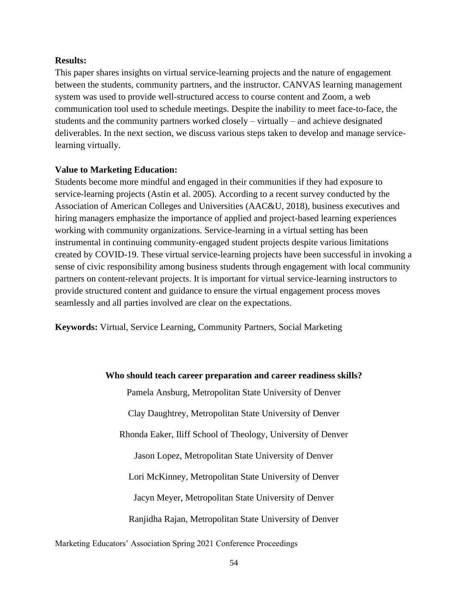#### **Results:**

This paper shares insights on virtual service-learning projects and the nature of engagement between the students, community partners, and the instructor. CANVAS learning management system was used to provide well-structured access to course content and Zoom, a web communication tool used to schedule meetings. Despite the inability to meet face-to-face, the students and the community partners worked closely – virtually – and achieve designated deliverables. In the next section, we discuss various steps taken to develop and manage servicelearning virtually.

#### **Value to Marketing Education:**

Students become more mindful and engaged in their communities if they had exposure to service-learning projects (Astin et al. 2005). According to a recent survey conducted by the Association of American Colleges and Universities (AAC&U, 2018), business executives and hiring managers emphasize the importance of applied and project-based learning experiences working with community organizations. Service-learning in a virtual setting has been instrumental in continuing community-engaged student projects despite various limitations created by COVID-19. These virtual service-learning projects have been successful in invoking a sense of civic responsibility among business students through engagement with local community partners on content-relevant projects. It is important for virtual service-learning instructors to provide structured content and guidance to ensure the virtual engagement process moves seamlessly and all parties involved are clear on the expectations.

**Keywords:** Virtual, Service Learning, Community Partners, Social Marketing

## **Who should teach career preparation and career readiness skills?**

Pamela Ansburg, Metropolitan State University of Denver

Clay Daughtrey, Metropolitan State University of Denver

Rhonda Eaker, Iliff School of Theology, University of Denver

Jason Lopez, Metropolitan State University of Denver

Lori McKinney, Metropolitan State University of Denver

Jacyn Meyer, Metropolitan State University of Denver

Ranjidha Rajan, Metropolitan State University of Denver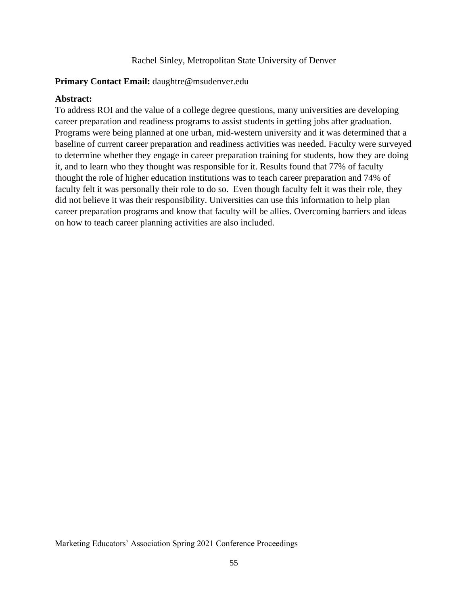#### Rachel Sinley, Metropolitan State University of Denver

## **Primary Contact Email:** daughtre@msudenver.edu

#### **Abstract:**

To address ROI and the value of a college degree questions, many universities are developing career preparation and readiness programs to assist students in getting jobs after graduation. Programs were being planned at one urban, mid-western university and it was determined that a baseline of current career preparation and readiness activities was needed. Faculty were surveyed to determine whether they engage in career preparation training for students, how they are doing it, and to learn who they thought was responsible for it. Results found that 77% of faculty thought the role of higher education institutions was to teach career preparation and 74% of faculty felt it was personally their role to do so. Even though faculty felt it was their role, they did not believe it was their responsibility. Universities can use this information to help plan career preparation programs and know that faculty will be allies. Overcoming barriers and ideas on how to teach career planning activities are also included.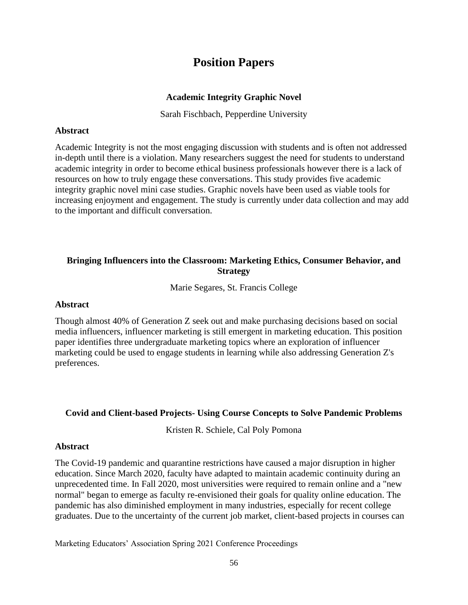# **Position Papers**

## **Academic Integrity Graphic Novel**

Sarah Fischbach, Pepperdine University

## **Abstract**

Academic Integrity is not the most engaging discussion with students and is often not addressed in-depth until there is a violation. Many researchers suggest the need for students to understand academic integrity in order to become ethical business professionals however there is a lack of resources on how to truly engage these conversations. This study provides five academic integrity graphic novel mini case studies. Graphic novels have been used as viable tools for increasing enjoyment and engagement. The study is currently under data collection and may add to the important and difficult conversation.

## **Bringing Influencers into the Classroom: Marketing Ethics, Consumer Behavior, and Strategy**

Marie Segares, St. Francis College

## **Abstract**

Though almost 40% of Generation Z seek out and make purchasing decisions based on social media influencers, influencer marketing is still emergent in marketing education. This position paper identifies three undergraduate marketing topics where an exploration of influencer marketing could be used to engage students in learning while also addressing Generation Z's preferences.

## **Covid and Client-based Projects- Using Course Concepts to Solve Pandemic Problems**

Kristen R. Schiele, Cal Poly Pomona

## **Abstract**

The Covid-19 pandemic and quarantine restrictions have caused a major disruption in higher education. Since March 2020, faculty have adapted to maintain academic continuity during an unprecedented time. In Fall 2020, most universities were required to remain online and a "new normal" began to emerge as faculty re-envisioned their goals for quality online education. The pandemic has also diminished employment in many industries, especially for recent college graduates. Due to the uncertainty of the current job market, client-based projects in courses can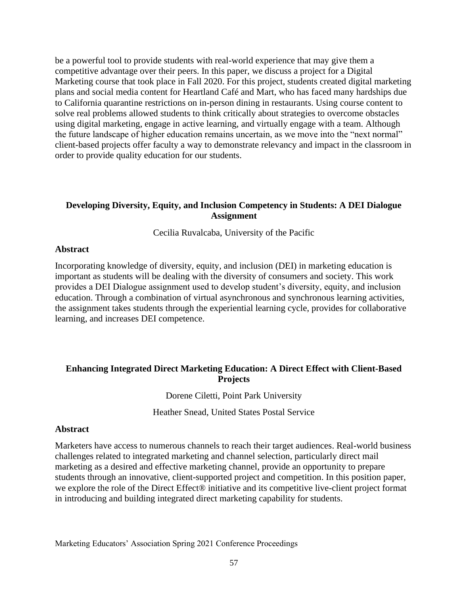be a powerful tool to provide students with real-world experience that may give them a competitive advantage over their peers. In this paper, we discuss a project for a Digital Marketing course that took place in Fall 2020. For this project, students created digital marketing plans and social media content for Heartland Café and Mart, who has faced many hardships due to California quarantine restrictions on in-person dining in restaurants. Using course content to solve real problems allowed students to think critically about strategies to overcome obstacles using digital marketing, engage in active learning, and virtually engage with a team. Although the future landscape of higher education remains uncertain, as we move into the "next normal" client-based projects offer faculty a way to demonstrate relevancy and impact in the classroom in order to provide quality education for our students.

## **Developing Diversity, Equity, and Inclusion Competency in Students: A DEI Dialogue Assignment**

Cecilia Ruvalcaba, University of the Pacific

## **Abstract**

Incorporating knowledge of diversity, equity, and inclusion (DEI) in marketing education is important as students will be dealing with the diversity of consumers and society. This work provides a DEI Dialogue assignment used to develop student's diversity, equity, and inclusion education. Through a combination of virtual asynchronous and synchronous learning activities, the assignment takes students through the experiential learning cycle, provides for collaborative learning, and increases DEI competence.

## **Enhancing Integrated Direct Marketing Education: A Direct Effect with Client-Based Projects**

## Dorene Ciletti, Point Park University

Heather Snead, United States Postal Service

## **Abstract**

Marketers have access to numerous channels to reach their target audiences. Real-world business challenges related to integrated marketing and channel selection, particularly direct mail marketing as a desired and effective marketing channel, provide an opportunity to prepare students through an innovative, client-supported project and competition. In this position paper, we explore the role of the Direct Effect® initiative and its competitive live-client project format in introducing and building integrated direct marketing capability for students.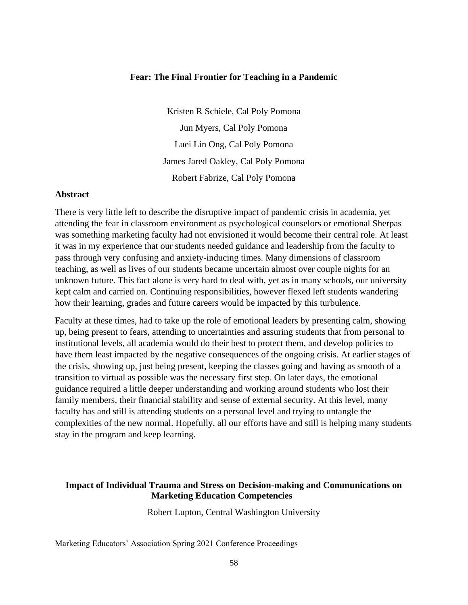#### **Fear: The Final Frontier for Teaching in a Pandemic**

Kristen R Schiele, Cal Poly Pomona Jun Myers, Cal Poly Pomona Luei Lin Ong, Cal Poly Pomona James Jared Oakley, Cal Poly Pomona Robert Fabrize, Cal Poly Pomona

#### **Abstract**

There is very little left to describe the disruptive impact of pandemic crisis in academia, yet attending the fear in classroom environment as psychological counselors or emotional Sherpas was something marketing faculty had not envisioned it would become their central role. At least it was in my experience that our students needed guidance and leadership from the faculty to pass through very confusing and anxiety-inducing times. Many dimensions of classroom teaching, as well as lives of our students became uncertain almost over couple nights for an unknown future. This fact alone is very hard to deal with, yet as in many schools, our university kept calm and carried on. Continuing responsibilities, however flexed left students wandering how their learning, grades and future careers would be impacted by this turbulence.

Faculty at these times, had to take up the role of emotional leaders by presenting calm, showing up, being present to fears, attending to uncertainties and assuring students that from personal to institutional levels, all academia would do their best to protect them, and develop policies to have them least impacted by the negative consequences of the ongoing crisis. At earlier stages of the crisis, showing up, just being present, keeping the classes going and having as smooth of a transition to virtual as possible was the necessary first step. On later days, the emotional guidance required a little deeper understanding and working around students who lost their family members, their financial stability and sense of external security. At this level, many faculty has and still is attending students on a personal level and trying to untangle the complexities of the new normal. Hopefully, all our efforts have and still is helping many students stay in the program and keep learning.

## **Impact of Individual Trauma and Stress on Decision-making and Communications on Marketing Education Competencies**

Robert Lupton, Central Washington University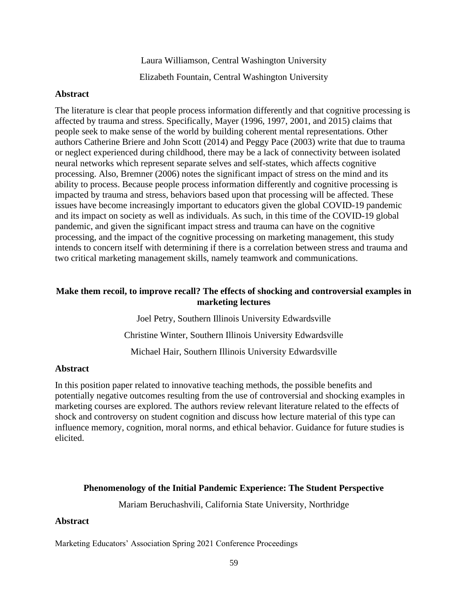Laura Williamson, Central Washington University Elizabeth Fountain, Central Washington University

#### **Abstract**

The literature is clear that people process information differently and that cognitive processing is affected by trauma and stress. Specifically, Mayer (1996, 1997, 2001, and 2015) claims that people seek to make sense of the world by building coherent mental representations. Other authors Catherine Briere and John Scott (2014) and Peggy Pace (2003) write that due to trauma or neglect experienced during childhood, there may be a lack of connectivity between isolated neural networks which represent separate selves and self-states, which affects cognitive processing. Also, Bremner (2006) notes the significant impact of stress on the mind and its ability to process. Because people process information differently and cognitive processing is impacted by trauma and stress, behaviors based upon that processing will be affected. These issues have become increasingly important to educators given the global COVID-19 pandemic and its impact on society as well as individuals. As such, in this time of the COVID-19 global pandemic, and given the significant impact stress and trauma can have on the cognitive processing, and the impact of the cognitive processing on marketing management, this study intends to concern itself with determining if there is a correlation between stress and trauma and two critical marketing management skills, namely teamwork and communications.

## **Make them recoil, to improve recall? The effects of shocking and controversial examples in marketing lectures**

Joel Petry, Southern Illinois University Edwardsville Christine Winter, Southern Illinois University Edwardsville Michael Hair, Southern Illinois University Edwardsville

## **Abstract**

In this position paper related to innovative teaching methods, the possible benefits and potentially negative outcomes resulting from the use of controversial and shocking examples in marketing courses are explored. The authors review relevant literature related to the effects of shock and controversy on student cognition and discuss how lecture material of this type can influence memory, cognition, moral norms, and ethical behavior. Guidance for future studies is elicited.

## **Phenomenology of the Initial Pandemic Experience: The Student Perspective**

Mariam Beruchashvili, California State University, Northridge

## **Abstract**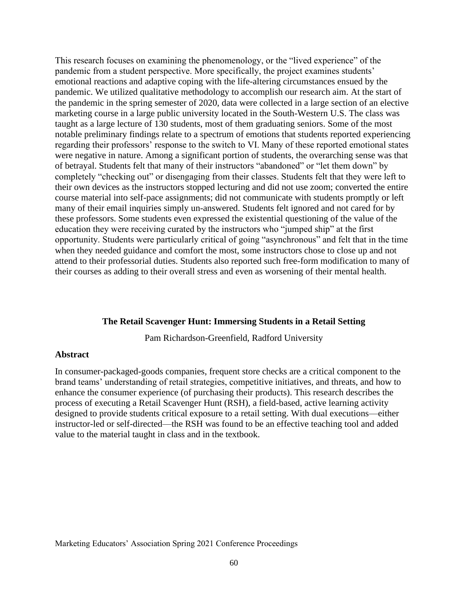This research focuses on examining the phenomenology, or the "lived experience" of the pandemic from a student perspective. More specifically, the project examines students' emotional reactions and adaptive coping with the life-altering circumstances ensued by the pandemic. We utilized qualitative methodology to accomplish our research aim. At the start of the pandemic in the spring semester of 2020, data were collected in a large section of an elective marketing course in a large public university located in the South-Western U.S. The class was taught as a large lecture of 130 students, most of them graduating seniors. Some of the most notable preliminary findings relate to a spectrum of emotions that students reported experiencing regarding their professors' response to the switch to VI. Many of these reported emotional states were negative in nature. Among a significant portion of students, the overarching sense was that of betrayal. Students felt that many of their instructors "abandoned" or "let them down" by completely "checking out" or disengaging from their classes. Students felt that they were left to their own devices as the instructors stopped lecturing and did not use zoom; converted the entire course material into self-pace assignments; did not communicate with students promptly or left many of their email inquiries simply un-answered. Students felt ignored and not cared for by these professors. Some students even expressed the existential questioning of the value of the education they were receiving curated by the instructors who "jumped ship" at the first opportunity. Students were particularly critical of going "asynchronous" and felt that in the time when they needed guidance and comfort the most, some instructors chose to close up and not attend to their professorial duties. Students also reported such free-form modification to many of their courses as adding to their overall stress and even as worsening of their mental health.

#### **The Retail Scavenger Hunt: Immersing Students in a Retail Setting**

Pam Richardson-Greenfield, Radford University

#### **Abstract**

In consumer-packaged-goods companies, frequent store checks are a critical component to the brand teams' understanding of retail strategies, competitive initiatives, and threats, and how to enhance the consumer experience (of purchasing their products). This research describes the process of executing a Retail Scavenger Hunt (RSH), a field-based, active learning activity designed to provide students critical exposure to a retail setting. With dual executions—either instructor-led or self-directed—the RSH was found to be an effective teaching tool and added value to the material taught in class and in the textbook.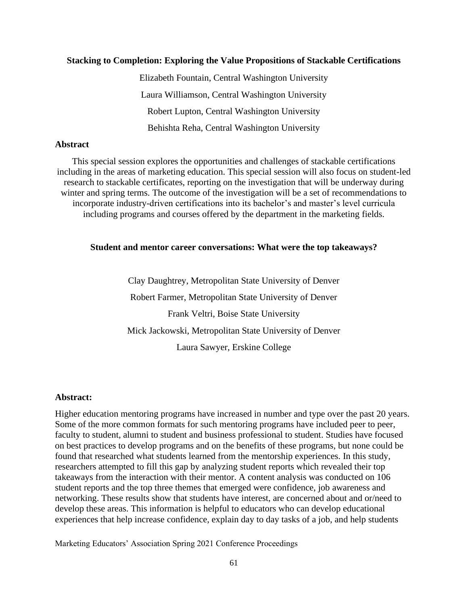## **Stacking to Completion: Exploring the Value Propositions of Stackable Certifications**

Elizabeth Fountain, Central Washington University Laura Williamson, Central Washington University Robert Lupton, Central Washington University Behishta Reha, Central Washington University

#### **Abstract**

This special session explores the opportunities and challenges of stackable certifications including in the areas of marketing education. This special session will also focus on student-led research to stackable certificates, reporting on the investigation that will be underway during winter and spring terms. The outcome of the investigation will be a set of recommendations to incorporate industry-driven certifications into its bachelor's and master's level curricula including programs and courses offered by the department in the marketing fields.

#### **Student and mentor career conversations: What were the top takeaways?**

Clay Daughtrey, Metropolitan State University of Denver Robert Farmer, Metropolitan State University of Denver Frank Veltri, Boise State University Mick Jackowski, Metropolitan State University of Denver Laura Sawyer, Erskine College

## **Abstract:**

Higher education mentoring programs have increased in number and type over the past 20 years. Some of the more common formats for such mentoring programs have included peer to peer, faculty to student, alumni to student and business professional to student. Studies have focused on best practices to develop programs and on the benefits of these programs, but none could be found that researched what students learned from the mentorship experiences. In this study, researchers attempted to fill this gap by analyzing student reports which revealed their top takeaways from the interaction with their mentor. A content analysis was conducted on 106 student reports and the top three themes that emerged were confidence, job awareness and networking. These results show that students have interest, are concerned about and or/need to develop these areas. This information is helpful to educators who can develop educational experiences that help increase confidence, explain day to day tasks of a job, and help students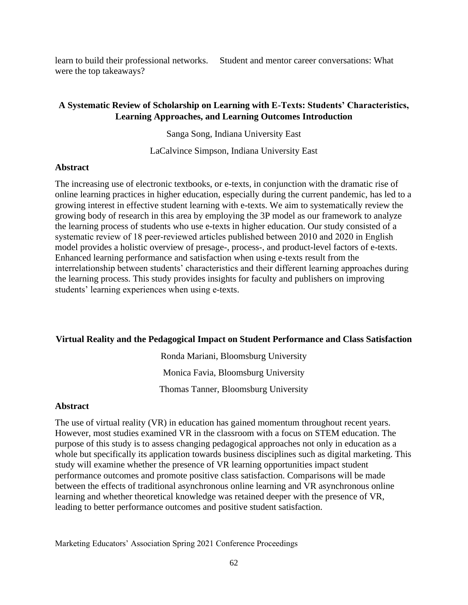learn to build their professional networks. Student and mentor career conversations: What were the top takeaways?

## **A Systematic Review of Scholarship on Learning with E-Texts: Students' Characteristics, Learning Approaches, and Learning Outcomes Introduction**

Sanga Song, Indiana University East

LaCalvince Simpson, Indiana University East

## **Abstract**

The increasing use of electronic textbooks, or e-texts, in conjunction with the dramatic rise of online learning practices in higher education, especially during the current pandemic, has led to a growing interest in effective student learning with e-texts. We aim to systematically review the growing body of research in this area by employing the 3P model as our framework to analyze the learning process of students who use e-texts in higher education. Our study consisted of a systematic review of 18 peer-reviewed articles published between 2010 and 2020 in English model provides a holistic overview of presage-, process-, and product-level factors of e-texts. Enhanced learning performance and satisfaction when using e-texts result from the interrelationship between students' characteristics and their different learning approaches during the learning process. This study provides insights for faculty and publishers on improving students' learning experiences when using e-texts.

## **Virtual Reality and the Pedagogical Impact on Student Performance and Class Satisfaction**

Ronda Mariani, Bloomsburg University Monica Favia, Bloomsburg University Thomas Tanner, Bloomsburg University

## **Abstract**

The use of virtual reality (VR) in education has gained momentum throughout recent years. However, most studies examined VR in the classroom with a focus on STEM education. The purpose of this study is to assess changing pedagogical approaches not only in education as a whole but specifically its application towards business disciplines such as digital marketing. This study will examine whether the presence of VR learning opportunities impact student performance outcomes and promote positive class satisfaction. Comparisons will be made between the effects of traditional asynchronous online learning and VR asynchronous online learning and whether theoretical knowledge was retained deeper with the presence of VR, leading to better performance outcomes and positive student satisfaction.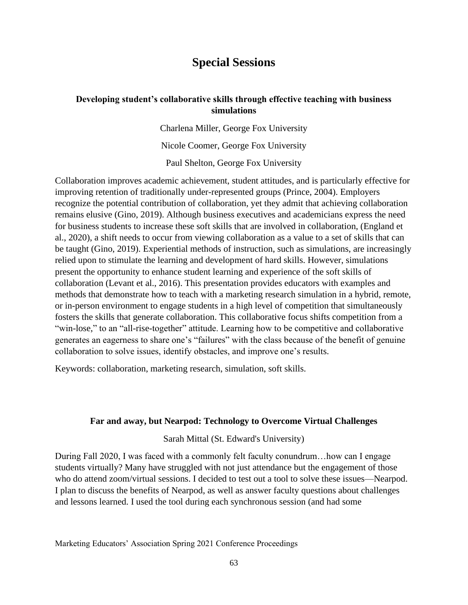# **Special Sessions**

## **Developing student's collaborative skills through effective teaching with business simulations**

Charlena Miller, George Fox University

Nicole Coomer, George Fox University

Paul Shelton, George Fox University

Collaboration improves academic achievement, student attitudes, and is particularly effective for improving retention of traditionally under-represented groups (Prince, 2004). Employers recognize the potential contribution of collaboration, yet they admit that achieving collaboration remains elusive (Gino, 2019). Although business executives and academicians express the need for business students to increase these soft skills that are involved in collaboration, (England et al., 2020), a shift needs to occur from viewing collaboration as a value to a set of skills that can be taught (Gino, 2019). Experiential methods of instruction, such as simulations, are increasingly relied upon to stimulate the learning and development of hard skills. However, simulations present the opportunity to enhance student learning and experience of the soft skills of collaboration (Levant et al., 2016). This presentation provides educators with examples and methods that demonstrate how to teach with a marketing research simulation in a hybrid, remote, or in-person environment to engage students in a high level of competition that simultaneously fosters the skills that generate collaboration. This collaborative focus shifts competition from a "win-lose," to an "all-rise-together" attitude. Learning how to be competitive and collaborative generates an eagerness to share one's "failures" with the class because of the benefit of genuine collaboration to solve issues, identify obstacles, and improve one's results.

Keywords: collaboration, marketing research, simulation, soft skills.

## **Far and away, but Nearpod: Technology to Overcome Virtual Challenges**

Sarah Mittal (St. Edward's University)

During Fall 2020, I was faced with a commonly felt faculty conundrum…how can I engage students virtually? Many have struggled with not just attendance but the engagement of those who do attend zoom/virtual sessions. I decided to test out a tool to solve these issues—Nearpod. I plan to discuss the benefits of Nearpod, as well as answer faculty questions about challenges and lessons learned. I used the tool during each synchronous session (and had some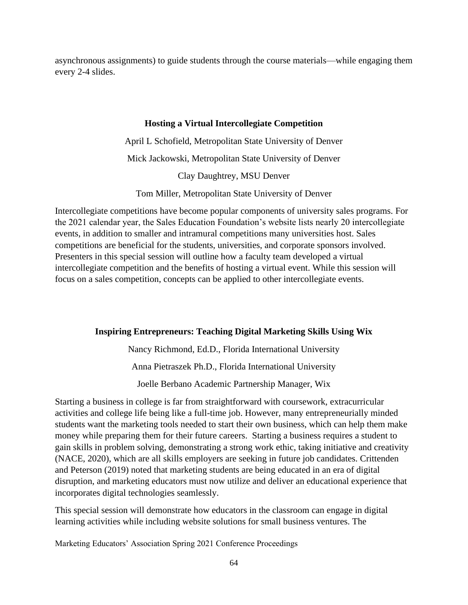asynchronous assignments) to guide students through the course materials—while engaging them every 2-4 slides.

## **Hosting a Virtual Intercollegiate Competition**

April L Schofield, Metropolitan State University of Denver Mick Jackowski, Metropolitan State University of Denver Clay Daughtrey, MSU Denver

Tom Miller, Metropolitan State University of Denver

Intercollegiate competitions have become popular components of university sales programs. For the 2021 calendar year, the Sales Education Foundation's website lists nearly 20 intercollegiate events, in addition to smaller and intramural competitions many universities host. Sales competitions are beneficial for the students, universities, and corporate sponsors involved. Presenters in this special session will outline how a faculty team developed a virtual intercollegiate competition and the benefits of hosting a virtual event. While this session will focus on a sales competition, concepts can be applied to other intercollegiate events.

## **Inspiring Entrepreneurs: Teaching Digital Marketing Skills Using Wix**

Nancy Richmond, Ed.D., Florida International University Anna Pietraszek Ph.D., Florida International University

Joelle Berbano Academic Partnership Manager, Wix

Starting a business in college is far from straightforward with coursework, extracurricular activities and college life being like a full-time job. However, many entrepreneurially minded students want the marketing tools needed to start their own business, which can help them make money while preparing them for their future careers. Starting a business requires a student to gain skills in problem solving, demonstrating a strong work ethic, taking initiative and creativity (NACE, 2020), which are all skills employers are seeking in future job candidates. Crittenden and Peterson (2019) noted that marketing students are being educated in an era of digital disruption, and marketing educators must now utilize and deliver an educational experience that incorporates digital technologies seamlessly.

This special session will demonstrate how educators in the classroom can engage in digital learning activities while including website solutions for small business ventures. The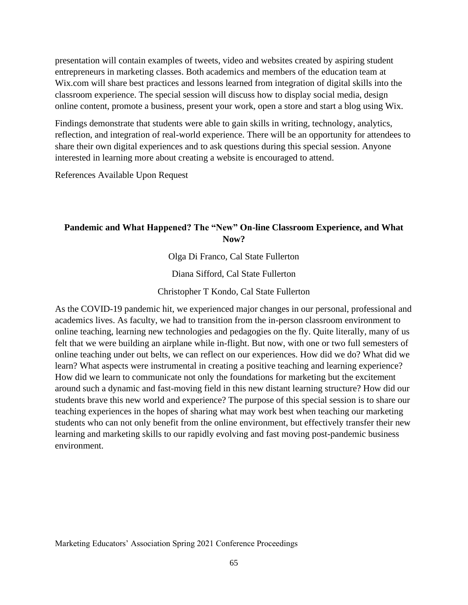presentation will contain examples of tweets, video and websites created by aspiring student entrepreneurs in marketing classes. Both academics and members of the education team at Wix.com will share best practices and lessons learned from integration of digital skills into the classroom experience. The special session will discuss how to display social media, design online content, promote a business, present your work, open a store and start a blog using Wix.

Findings demonstrate that students were able to gain skills in writing, technology, analytics, reflection, and integration of real-world experience. There will be an opportunity for attendees to share their own digital experiences and to ask questions during this special session. Anyone interested in learning more about creating a website is encouraged to attend.

References Available Upon Request

## **Pandemic and What Happened? The "New" On-line Classroom Experience, and What Now?**

Olga Di Franco, Cal State Fullerton

Diana Sifford, Cal State Fullerton

Christopher T Kondo, Cal State Fullerton

As the COVID-19 pandemic hit, we experienced major changes in our personal, professional and academics lives. As faculty, we had to transition from the in-person classroom environment to online teaching, learning new technologies and pedagogies on the fly. Quite literally, many of us felt that we were building an airplane while in-flight. But now, with one or two full semesters of online teaching under out belts, we can reflect on our experiences. How did we do? What did we learn? What aspects were instrumental in creating a positive teaching and learning experience? How did we learn to communicate not only the foundations for marketing but the excitement around such a dynamic and fast-moving field in this new distant learning structure? How did our students brave this new world and experience? The purpose of this special session is to share our teaching experiences in the hopes of sharing what may work best when teaching our marketing students who can not only benefit from the online environment, but effectively transfer their new learning and marketing skills to our rapidly evolving and fast moving post-pandemic business environment.